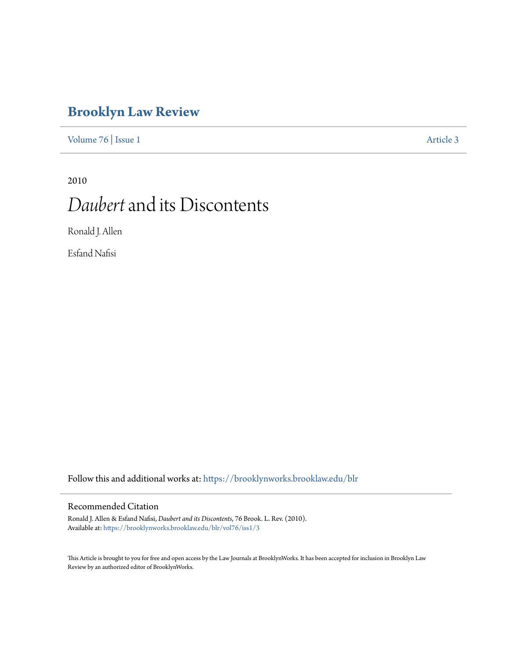# **[Brooklyn Law Review](https://brooklynworks.brooklaw.edu/blr?utm_source=brooklynworks.brooklaw.edu%2Fblr%2Fvol76%2Fiss1%2F3&utm_medium=PDF&utm_campaign=PDFCoverPages)**

[Volume 76](https://brooklynworks.brooklaw.edu/blr/vol76?utm_source=brooklynworks.brooklaw.edu%2Fblr%2Fvol76%2Fiss1%2F3&utm_medium=PDF&utm_campaign=PDFCoverPages) | [Issue 1](https://brooklynworks.brooklaw.edu/blr/vol76/iss1?utm_source=brooklynworks.brooklaw.edu%2Fblr%2Fvol76%2Fiss1%2F3&utm_medium=PDF&utm_campaign=PDFCoverPages) [Article 3](https://brooklynworks.brooklaw.edu/blr/vol76/iss1/3?utm_source=brooklynworks.brooklaw.edu%2Fblr%2Fvol76%2Fiss1%2F3&utm_medium=PDF&utm_campaign=PDFCoverPages)

# 2010 *Daubert*and its Discontents

Ronald J. Allen

Esfand Nafisi

Follow this and additional works at: [https://brooklynworks.brooklaw.edu/blr](https://brooklynworks.brooklaw.edu/blr?utm_source=brooklynworks.brooklaw.edu%2Fblr%2Fvol76%2Fiss1%2F3&utm_medium=PDF&utm_campaign=PDFCoverPages)

# Recommended Citation

Ronald J. Allen & Esfand Nafisi, *Daubert and its Discontents*, 76 Brook. L. Rev. (2010). Available at: [https://brooklynworks.brooklaw.edu/blr/vol76/iss1/3](https://brooklynworks.brooklaw.edu/blr/vol76/iss1/3?utm_source=brooklynworks.brooklaw.edu%2Fblr%2Fvol76%2Fiss1%2F3&utm_medium=PDF&utm_campaign=PDFCoverPages)

This Article is brought to you for free and open access by the Law Journals at BrooklynWorks. It has been accepted for inclusion in Brooklyn Law Review by an authorized editor of BrooklynWorks.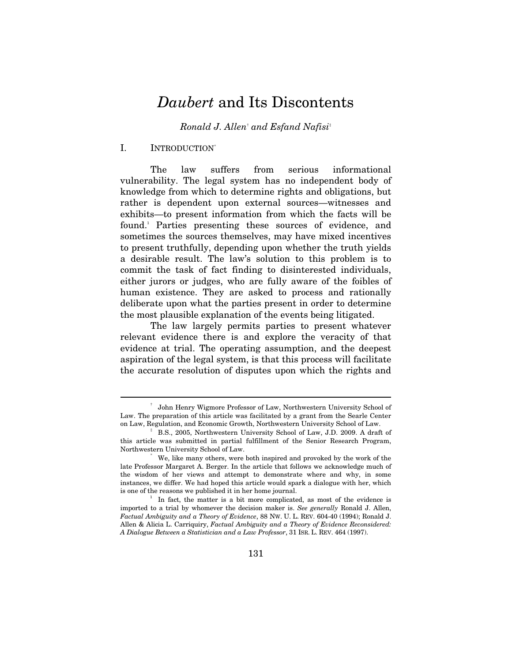# *Daubert* and Its Discontents

*Ronald J. Allen*†  *and Esfand Nafisi*‡

#### I. INTRODUCTION<sup>\*</sup>

 $\overline{a}$ 

The law suffers from serious informational vulnerability. The legal system has no independent body of knowledge from which to determine rights and obligations, but rather is dependent upon external sources—witnesses and exhibits—to present information from which the facts will be found.<sup>1</sup> Parties presenting these sources of evidence, and sometimes the sources themselves, may have mixed incentives to present truthfully, depending upon whether the truth yields a desirable result. The law's solution to this problem is to commit the task of fact finding to disinterested individuals, either jurors or judges, who are fully aware of the foibles of human existence. They are asked to process and rationally deliberate upon what the parties present in order to determine the most plausible explanation of the events being litigated.

The law largely permits parties to present whatever relevant evidence there is and explore the veracity of that evidence at trial. The operating assumption, and the deepest aspiration of the legal system, is that this process will facilitate the accurate resolution of disputes upon which the rights and

<sup>†</sup> John Henry Wigmore Professor of Law, Northwestern University School of Law. The preparation of this article was facilitated by a grant from the Searle Center on Law, Regulation, and Economic Growth, Northwestern University School of Law.

B.S., 2005, Northwestern University School of Law, J.D. 2009. A draft of this article was submitted in partial fulfillment of the Senior Research Program, Northwestern University School of Law.

We, like many others, were both inspired and provoked by the work of the late Professor Margaret A. Berger. In the article that follows we acknowledge much of the wisdom of her views and attempt to demonstrate where and why, in some instances, we differ. We had hoped this article would spark a dialogue with her, which is one of the reasons we published it in her home journal. 1

In fact, the matter is a bit more complicated, as most of the evidence is imported to a trial by whomever the decision maker is. *See generally* Ronald J. Allen, *Factual Ambiguity and a Theory of Evidence*, 88 NW. U. L. REV. 604-40 (1994); Ronald J. Allen & Alicia L. Carriquiry, *Factual Ambiguity and a Theory of Evidence Reconsidered: A Dialogue Between a Statistician and a Law Professor*, 31 ISR. L. REV. 464 (1997).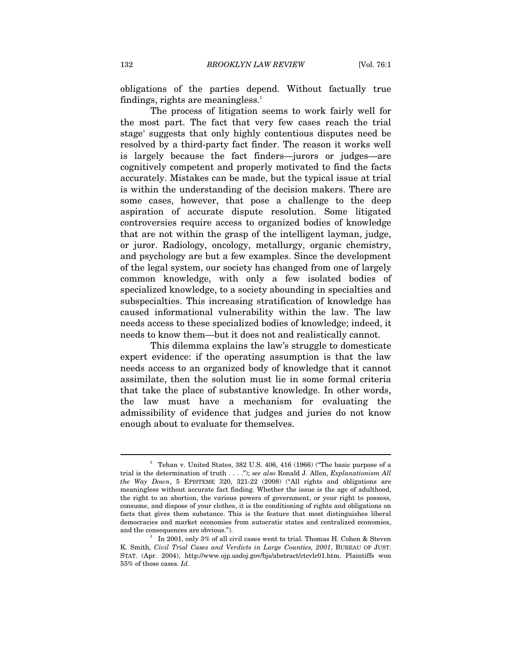obligations of the parties depend. Without factually true findings, rights are meaningless.<sup>2</sup>

The process of litigation seems to work fairly well for the most part. The fact that very few cases reach the trial stage<sup>3</sup> suggests that only highly contentious disputes need be resolved by a third-party fact finder. The reason it works well is largely because the fact finders—jurors or judges—are cognitively competent and properly motivated to find the facts accurately. Mistakes can be made, but the typical issue at trial is within the understanding of the decision makers. There are some cases, however, that pose a challenge to the deep aspiration of accurate dispute resolution. Some litigated controversies require access to organized bodies of knowledge that are not within the grasp of the intelligent layman, judge, or juror. Radiology, oncology, metallurgy, organic chemistry, and psychology are but a few examples. Since the development of the legal system, our society has changed from one of largely common knowledge, with only a few isolated bodies of specialized knowledge, to a society abounding in specialties and subspecialties. This increasing stratification of knowledge has caused informational vulnerability within the law. The law needs access to these specialized bodies of knowledge; indeed, it needs to know them—but it does not and realistically cannot.

This dilemma explains the law's struggle to domesticate expert evidence: if the operating assumption is that the law needs access to an organized body of knowledge that it cannot assimilate, then the solution must lie in some formal criteria that take the place of substantive knowledge. In other words, the law must have a mechanism for evaluating the admissibility of evidence that judges and juries do not know enough about to evaluate for themselves.

<sup>2</sup> Tehan v. United States, 382 U.S. 406, 416 (1966) ("The basic purpose of a trial is the determination of truth . . . ."); *see also* Ronald J. Allen, *Explanationism All the Way Down*, 5 EPISTEME 320, 321-22 (2008) ("All rights and obligations are meaningless without accurate fact finding. Whether the issue is the age of adulthood, the right to an abortion, the various powers of government, or your right to possess, consume, and dispose of your clothes, it is the conditioning of rights and obligations on facts that gives them substance. This is the feature that most distinguishes liberal democracies and market economies from autocratic states and centralized economies, and the consequences are obvious.").

In 2001, only 3% of all civil cases went to trial. Thomas H. Cohen & Steven K. Smith, *Civil Trial Cases and Verdicts in Large Counties, 2001*, BUREAU OF JUST. STAT. (Apr. 2004), http://www.ojp.usdoj.gov/bjs/abstract/ctcvlc01.htm. Plaintiffs won 55% of those cases*. Id.*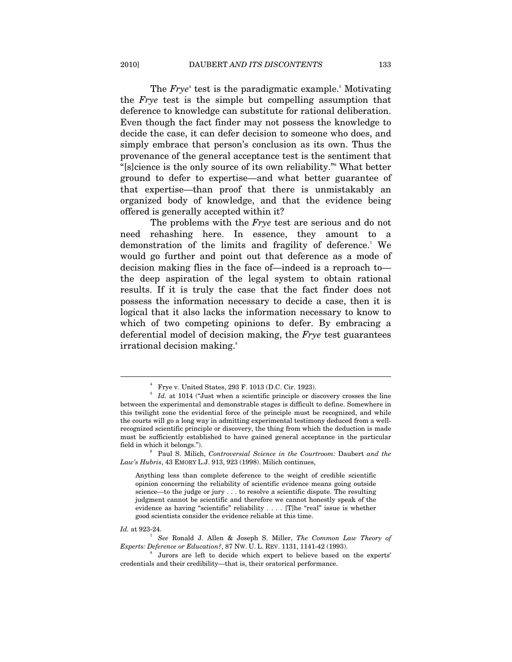The *Frye*<sup>4</sup> test is the paradigmatic example.<sup>5</sup> Motivating the *Frye* test is the simple but compelling assumption that deference to knowledge can substitute for rational deliberation. Even though the fact finder may not possess the knowledge to decide the case, it can defer decision to someone who does, and simply embrace that person's conclusion as its own. Thus the provenance of the general acceptance test is the sentiment that "[s]cience is the only source of its own reliability."6 What better ground to defer to expertise—and what better guarantee of that expertise—than proof that there is unmistakably an organized body of knowledge, and that the evidence being offered is generally accepted within it?

The problems with the *Frye* test are serious and do not need rehashing here. In essence, they amount to a demonstration of the limits and fragility of deference.<sup>7</sup> We would go further and point out that deference as a mode of decision making flies in the face of—indeed is a reproach to the deep aspiration of the legal system to obtain rational results. If it is truly the case that the fact finder does not possess the information necessary to decide a case, then it is logical that it also lacks the information necessary to know to which of two competing opinions to defer. By embracing a deferential model of decision making, the *Frye* test guarantees irrational decision making.<sup>8</sup>

Id. at 923-24.

<sup>4</sup> Frye v. United States, 293 F. 1013 (D.C. Cir. 1923).

<sup>&</sup>lt;sup>5</sup> Id. at 1014 ("Just when a scientific principle or discovery crosses the line between the experimental and demonstrable stages is difficult to define. Somewhere in this twilight zone the evidential force of the principle must be recognized, and while the courts will go a long way in admitting experimental testimony deduced from a wellrecognized scientific principle or discovery, the thing from which the deduction is made must be sufficiently established to have gained general acceptance in the particular field in which it belongs."). 6

Paul S. Milich, *Controversial Science in the Courtroom:* Daubert *and the Law's Hubris*, 43 EMORY L.J. 913, 923 (1998). Milich continues,

Anything less than complete deference to the weight of credible scientific opinion concerning the reliability of scientific evidence means going outside science—to the judge or jury . . . to resolve a scientific dispute. The resulting judgment cannot be scientific and therefore we cannot honestly speak of the evidence as having "scientific" reliability . . . . [T]he "real" issue is whether good scientists consider the evidence reliable at this time.

*See* Ronald J. Allen & Joseph S. Miller, *The Common Law Theory of Experts: Deference or Education?*, 87 NW. U. L. REV. 1131, 1141-42 (1993). 8

Jurors are left to decide which expert to believe based on the experts' credentials and their credibility—that is, their oratorical performance.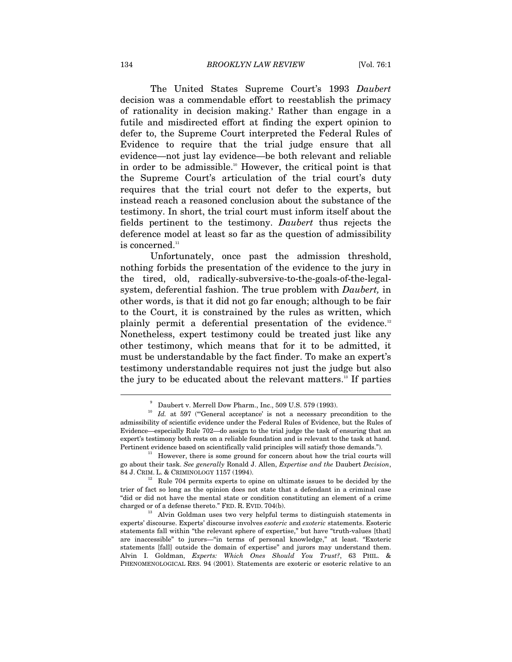The United States Supreme Court's 1993 *Daubert* decision was a commendable effort to reestablish the primacy of rationality in decision making.<sup>9</sup> Rather than engage in a futile and misdirected effort at finding the expert opinion to defer to, the Supreme Court interpreted the Federal Rules of Evidence to require that the trial judge ensure that all evidence—not just lay evidence—be both relevant and reliable in order to be admissible.<sup>10</sup> However, the critical point is that the Supreme Court's articulation of the trial court's duty requires that the trial court not defer to the experts, but instead reach a reasoned conclusion about the substance of the testimony. In short, the trial court must inform itself about the fields pertinent to the testimony. *Daubert* thus rejects the deference model at least so far as the question of admissibility is concerned.<sup>11</sup>

Unfortunately, once past the admission threshold, nothing forbids the presentation of the evidence to the jury in the tired, old, radically-subversive-to-the-goals-of-the-legalsystem, deferential fashion. The true problem with *Daubert,* in other words, is that it did not go far enough; although to be fair to the Court, it is constrained by the rules as written, which plainly permit a deferential presentation of the evidence.<sup>12</sup> Nonetheless, expert testimony could be treated just like any other testimony, which means that for it to be admitted, it must be understandable by the fact finder. To make an expert's testimony understandable requires not just the judge but also the jury to be educated about the relevant matters.13 If parties

<sup>9</sup>

 $\stackrel{\text{\tiny 9}}{ }$  Daubert v. Merrell Dow Pharm., Inc., 509 U.S. 579 (1993).  $\stackrel{\text{\tiny 10}}{ }$  *Id.* at 597 ("General acceptance' is not a necessary precondition to the admissibility of scientific evidence under the Federal Rules of Evidence, but the Rules of Evidence—especially Rule 702—do assign to the trial judge the task of ensuring that an expert's testimony both rests on a reliable foundation and is relevant to the task at hand. Pertinent evidence based on scientifically valid principles will satisfy those demands.").<br><sup>11</sup> However, there is some ground for concern about how the trial courts will

go about their task. *See generally* Ronald J. Allen, *Expertise and the* Daubert *Decision*, 84 J. CRIM. L. & CRIMINOLOGY 1157 (1994).<br><sup>12</sup> Rule 704 permits experts to opine on ultimate issues to be decided by the

trier of fact so long as the opinion does not state that a defendant in a criminal case "did or did not have the mental state or condition constituting an element of a crime charged or of a defense thereto." FED. R. EVID. 704(b).<br><sup>13</sup> Alvin Goldman uses two very helpful terms to distinguish statements in

experts' discourse. Experts' discourse involves *esoteric* and *exoteric* statements. Esoteric statements fall within "the relevant sphere of expertise," but have "truth-values [that] are inaccessible" to jurors—"in terms of personal knowledge," at least. "Exoteric statements [fall] outside the domain of expertise" and jurors may understand them. Alvin I. Goldman, *Experts: Which Ones Should You Trust?*, 63 PHIL. & PHENOMENOLOGICAL RES. 94 (2001). Statements are exoteric or esoteric relative to an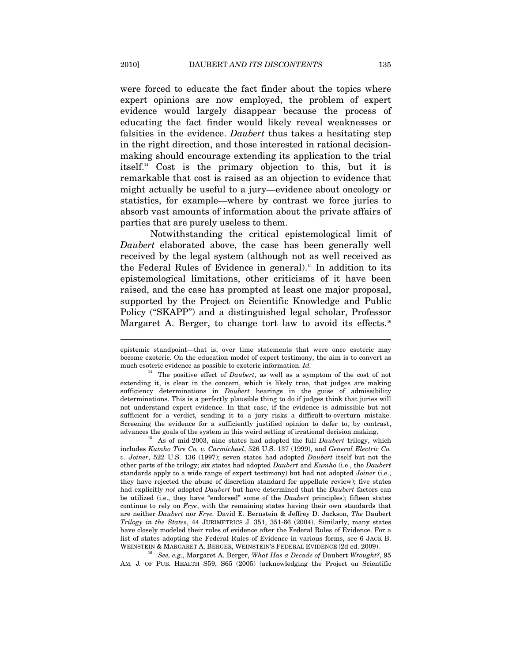were forced to educate the fact finder about the topics where expert opinions are now employed, the problem of expert evidence would largely disappear because the process of educating the fact finder would likely reveal weaknesses or falsities in the evidence. *Daubert* thus takes a hesitating step in the right direction, and those interested in rational decisionmaking should encourage extending its application to the trial itself.14 Cost is the primary objection to this, but it is remarkable that cost is raised as an objection to evidence that might actually be useful to a jury—evidence about oncology or statistics, for example—where by contrast we force juries to absorb vast amounts of information about the private affairs of parties that are purely useless to them.

Notwithstanding the critical epistemological limit of *Daubert* elaborated above, the case has been generally well received by the legal system (although not as well received as the Federal Rules of Evidence in general).<sup>15</sup> In addition to its epistemological limitations, other criticisms of it have been raised, and the case has prompted at least one major proposal, supported by the Project on Scientific Knowledge and Public Policy ("SKAPP") and a distinguished legal scholar, Professor Margaret A. Berger, to change tort law to avoid its effects.<sup>16</sup>

advances the goals of the system in this weird setting of irrational decision making. 15 As of mid-2003, nine states had adopted the full *Daubert* trilogy, which includes *Kumho Tire Co. v. Carmichael*, 526 U.S. 137 (1999), and *General Electric Co. v. Joiner*, 522 U.S. 136 (1997); seven states had adopted *Daubert* itself but not the other parts of the trilogy; six states had adopted *Daubert* and *Kumho* (i.e., the *Daubert*  standards apply to a wide range of expert testimony) but had not adopted *Joiner* (i.e., they have rejected the abuse of discretion standard for appellate review); five states had explicitly *not* adopted *Daubert* but have determined that the *Daubert* factors can be utilized (i.e., they have "endorsed" some of the *Daubert* principles); fifteen states continue to rely on *Frye*, with the remaining states having their own standards that are neither *Daubert* nor *Frye.* David E. Bernstein & Jeffrey D. Jackson, *The* Daubert *Trilogy in the States*, 44 JURIMETRICS J. 351, 351-66 (2004). Similarly, many states have closely modeled their rules of evidence after the Federal Rules of Evidence. For a list of states adopting the Federal Rules of Evidence in various forms, see 6 JACK B. WEINSTEIN & MARGARET A. BERGER, WEINSTEIN'S FEDERAL EVIDENCE (2d ed. 2009).

<sup>16</sup> See, e.g., Margaret A. Berger, *What Has a Decade of Daubert Wrought?*, 95 AM*.* J*.* OF PUB*.* HEALTH S59, S65 (2005) (acknowledging the Project on Scientific

epistemic standpoint—that is, over time statements that were once esoteric may become exoteric. On the education model of expert testimony, the aim is to convert as much esoteric evidence as possible to exoteric information. *Id.*

<sup>&</sup>lt;sup>14</sup> The positive effect of *Daubert*, as well as a symptom of the cost of not extending it, is clear in the concern, which is likely true, that judges are making sufficiency determinations in *Daubert* hearings in the guise of admissibility determinations. This is a perfectly plausible thing to do if judges think that juries will not understand expert evidence. In that case, if the evidence is admissible but not sufficient for a verdict, sending it to a jury risks a difficult-to-overturn mistake. Screening the evidence for a sufficiently justified opinion to defer to, by contrast,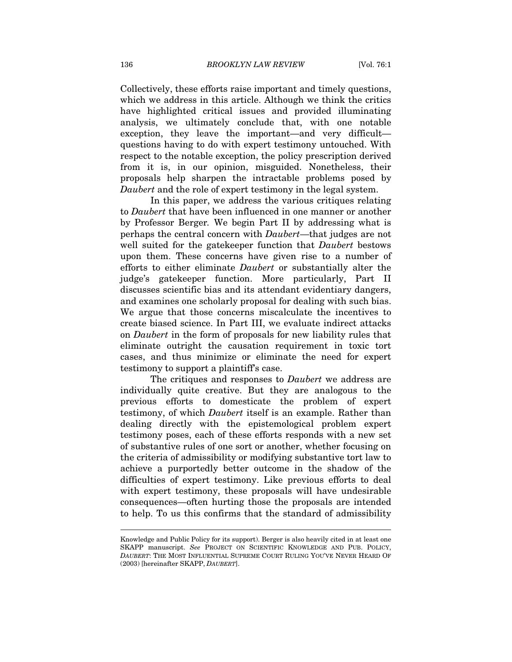Collectively, these efforts raise important and timely questions, which we address in this article. Although we think the critics have highlighted critical issues and provided illuminating analysis, we ultimately conclude that, with one notable exception, they leave the important—and very difficult questions having to do with expert testimony untouched. With respect to the notable exception, the policy prescription derived from it is, in our opinion, misguided. Nonetheless, their proposals help sharpen the intractable problems posed by *Daubert* and the role of expert testimony in the legal system.

In this paper, we address the various critiques relating to *Daubert* that have been influenced in one manner or another by Professor Berger*.* We begin Part II by addressing what is perhaps the central concern with *Daubert*—that judges are not well suited for the gatekeeper function that *Daubert* bestows upon them. These concerns have given rise to a number of efforts to either eliminate *Daubert* or substantially alter the judge's gatekeeper function. More particularly, Part II discusses scientific bias and its attendant evidentiary dangers, and examines one scholarly proposal for dealing with such bias. We argue that those concerns miscalculate the incentives to create biased science. In Part III, we evaluate indirect attacks on *Daubert* in the form of proposals for new liability rules that eliminate outright the causation requirement in toxic tort cases, and thus minimize or eliminate the need for expert testimony to support a plaintiff's case.

The critiques and responses to *Daubert* we address are individually quite creative. But they are analogous to the previous efforts to domesticate the problem of expert testimony, of which *Daubert* itself is an example. Rather than dealing directly with the epistemological problem expert testimony poses, each of these efforts responds with a new set of substantive rules of one sort or another, whether focusing on the criteria of admissibility or modifying substantive tort law to achieve a purportedly better outcome in the shadow of the difficulties of expert testimony. Like previous efforts to deal with expert testimony, these proposals will have undesirable consequences—often hurting those the proposals are intended to help. To us this confirms that the standard of admissibility

Knowledge and Public Policy for its support). Berger is also heavily cited in at least one SKAPP manuscript. *See* PROJECT ON SCIENTIFIC KNOWLEDGE AND PUB. POLICY, *DAUBERT*: THE MOST INFLUENTIAL SUPREME COURT RULING YOU'VE NEVER HEARD OF (2003) [hereinafter SKAPP, *DAUBERT*].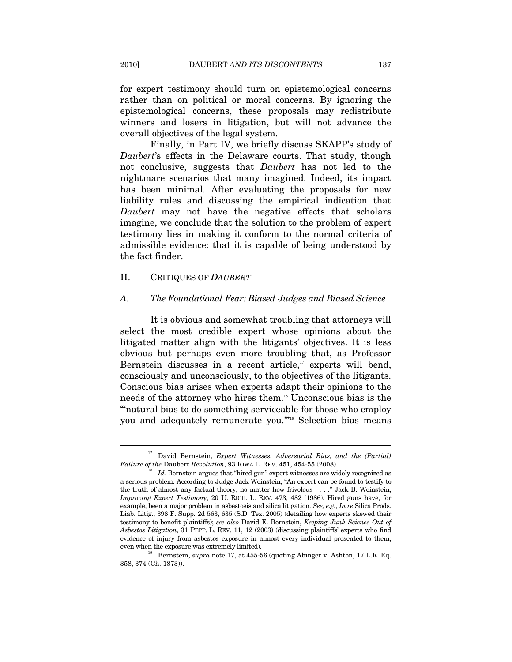for expert testimony should turn on epistemological concerns rather than on political or moral concerns. By ignoring the epistemological concerns, these proposals may redistribute winners and losers in litigation, but will not advance the overall objectives of the legal system.

Finally, in Part IV, we briefly discuss SKAPP's study of *Daubert*'s effects in the Delaware courts. That study, though not conclusive, suggests that *Daubert* has not led to the nightmare scenarios that many imagined. Indeed, its impact has been minimal. After evaluating the proposals for new liability rules and discussing the empirical indication that *Daubert* may not have the negative effects that scholars imagine, we conclude that the solution to the problem of expert testimony lies in making it conform to the normal criteria of admissible evidence: that it is capable of being understood by the fact finder.

# II. CRITIQUES OF *DAUBERT*

#### *A. The Foundational Fear: Biased Judges and Biased Science*

It is obvious and somewhat troubling that attorneys will select the most credible expert whose opinions about the litigated matter align with the litigants' objectives. It is less obvious but perhaps even more troubling that, as Professor Bernstein discusses in a recent article, $17$  experts will bend, consciously and unconsciously, to the objectives of the litigants. Conscious bias arises when experts adapt their opinions to the needs of the attorney who hires them.<sup>18</sup> Unconscious bias is the "natural bias to do something serviceable for those who employ you and adequately remunerate you.'"19 Selection bias means

<sup>&</sup>lt;sup>17</sup> David Bernstein, *Expert Witnesses, Adversarial Bias, and the (Partial) Failure of the Daubert Revolution,* 93 IOWA L. REV. 451, 454-55 (2008).

*Id.* Bernstein argues that "hired gun" expert witnesses are widely recognized as a serious problem. According to Judge Jack Weinstein, "An expert can be found to testify to the truth of almost any factual theory, no matter how frivolous . . . ." Jack B. Weinstein, *Improving Expert Testimony*, 20 U. RICH. L. REV. 473, 482 (1986). Hired guns have, for example, been a major problem in asbestosis and silica litigation. *See, e.g.*, *In re* Silica Prods. Liab. Litig., 398 F. Supp. 2d 563, 635 (S.D. Tex. 2005) (detailing how experts skewed their testimony to benefit plaintiffs); *see also* David E. Bernstein, *Keeping Junk Science Out of Asbestos Litigation*, 31 PEPP. L. REV. 11, 12 (2003) (discussing plaintiffs' experts who find evidence of injury from asbestos exposure in almost every individual presented to them,

even when the exposure was extremely limited). <br><sup>19</sup> Bernstein, *supra* note 17, at 455-56 (quoting Abinger v. Ashton, 17 L.R. Eq. 358, 374 (Ch. 1873)).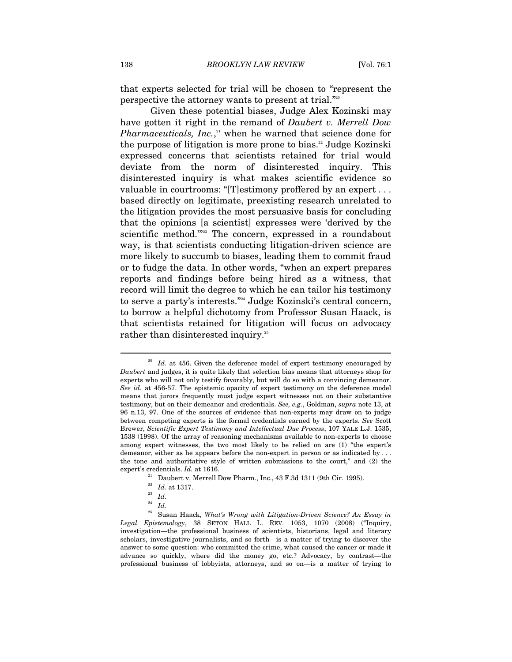that experts selected for trial will be chosen to "represent the perspective the attorney wants to present at trial."20

Given these potential biases, Judge Alex Kozinski may have gotten it right in the remand of *Daubert v. Merrell Dow Pharmaceuticals, Inc.*,<sup>21</sup> when he warned that science done for the purpose of litigation is more prone to bias.<sup>22</sup> Judge Kozinski expressed concerns that scientists retained for trial would deviate from the norm of disinterested inquiry. This disinterested inquiry is what makes scientific evidence so valuable in courtrooms: "[T]estimony proffered by an expert . . . based directly on legitimate, preexisting research unrelated to the litigation provides the most persuasive basis for concluding that the opinions [a scientist] expresses were 'derived by the scientific method."<sup>223</sup> The concern, expressed in a roundabout way, is that scientists conducting litigation-driven science are more likely to succumb to biases, leading them to commit fraud or to fudge the data. In other words, "when an expert prepares reports and findings before being hired as a witness, that record will limit the degree to which he can tailor his testimony to serve a party's interests."24 Judge Kozinski's central concern, to borrow a helpful dichotomy from Professor Susan Haack, is that scientists retained for litigation will focus on advocacy rather than disinterested inquiry.<sup>25</sup>

<sup>&</sup>lt;sup>20</sup> Id. at 456. Given the deference model of expert testimony encouraged by *Daubert* and judges, it is quite likely that selection bias means that attorneys shop for experts who will not only testify favorably, but will do so with a convincing demeanor. *See id.* at 456-57. The epistemic opacity of expert testimony on the deference model means that jurors frequently must judge expert witnesses not on their substantive testimony, but on their demeanor and credentials. *See, e.g.*, Goldman, *supra* note 13, at 96 n.13, 97. One of the sources of evidence that non-experts may draw on to judge between competing experts is the formal credentials earned by the experts. *See* Scott Brewer, *Scientific Expert Testimony and Intellectual Due Process*, 107 YALE L.J. 1535, 1538 (1998). Of the array of reasoning mechanisms available to non-experts to choose among expert witnesses, the two most likely to be relied on are (1) "the expert's demeanor, either as he appears before the non-expert in person or as indicated by . . . the tone and authoritative style of written submissions to the court," and (2) the expert's credentials. *Id.* at 1616. 21 Daubert v. Merrell Dow Pharm., Inc., 43 F.3d 1311 (9th Cir. 1995).

<sup>22</sup> *Id.* at 1317. 23 *Id.*

 $\frac{24}{25}$  *Id.* 

<sup>25</sup> Susan Haack, *What's Wrong with Litigation-Driven Science? An Essay in Legal Epistemology*, 38 SETON HALL L. REV. 1053, 1070 (2008) ("Inquiry, investigation—the professional business of scientists, historians, legal and literary scholars, investigative journalists, and so forth—is a matter of trying to discover the answer to some question: who committed the crime, what caused the cancer or made it advance so quickly, where did the money go, etc.? Advocacy, by contrast—the professional business of lobbyists, attorneys, and so on—is a matter of trying to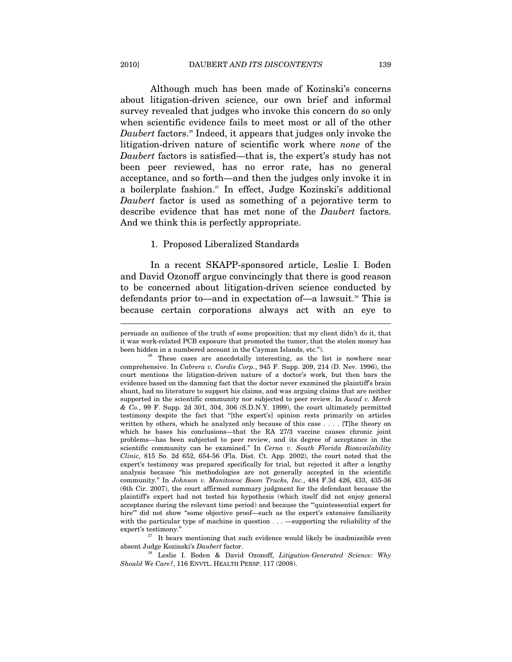Although much has been made of Kozinski's concerns about litigation-driven science, our own brief and informal survey revealed that judges who invoke this concern do so only when scientific evidence fails to meet most or all of the other *Daubert* factors.<sup>26</sup> Indeed, it appears that judges only invoke the litigation-driven nature of scientific work where *none* of the *Daubert* factors is satisfied—that is, the expert's study has not been peer reviewed, has no error rate, has no general acceptance, and so forth—and then the judges only invoke it in a boilerplate fashion.<sup>27</sup> In effect, Judge Kozinski's additional *Daubert* factor is used as something of a pejorative term to describe evidence that has met none of the *Daubert* factors. And we think this is perfectly appropriate.

#### 1. Proposed Liberalized Standards

In a recent SKAPP-sponsored article, Leslie I. Boden and David Ozonoff argue convincingly that there is good reason to be concerned about litigation-driven science conducted by defendants prior to—and in expectation of—a lawsuit.<sup>28</sup> This is because certain corporations always act with an eye to

absent Judge Kozinski's *Daubert* factor. 28 Leslie I. Boden & David Ozonoff, *Litigation-Generated Science: Why* 

persuade an audience of the truth of some proposition: that my client didn't do it, that it was work-related PCB exposure that promoted the tumor, that the stolen money has been hidden in a numbered account in the Cayman Islands, etc.").<br><sup>26</sup> These cases are anecdotally interesting, as the list is nowhere near

comprehensive. In *Cabrera v. Cordis Corp.*, 945 F. Supp. 209, 214 (D. Nev. 1996), the court mentions the litigation-driven nature of a doctor's work, but then bars the evidence based on the damning fact that the doctor never examined the plaintiff's brain shunt, had no literature to support his claims, and was arguing claims that are neither supported in the scientific community nor subjected to peer review. In *Awad v. Merck & Co.*, 99 F. Supp. 2d 301, 304, 306 (S.D.N.Y. 1999), the court ultimately permitted testimony despite the fact that "[the expert's] opinion rests primarily on articles written by others, which he analyzed only because of this case . . . . [T]he theory on which he bases his conclusions—that the RA 27/3 vaccine causes chronic joint problems—has been subjected to peer review, and its degree of acceptance in the scientific community can be examined." In *Cerna v. South Florida Bioavailability Clinic*, 815 So. 2d 652, 654-56 (Fla. Dist. Ct. App. 2002), the court noted that the expert's testimony was prepared specifically for trial, but rejected it after a lengthy analysis because "his methodologies are not generally accepted in the scientific community." In *Johnson v. Manitowoc Boom Trucks, Inc.*, 484 F.3d 426, 433, 435-36 (6th Cir. 2007), the court affirmed summary judgment for the defendant because the plaintiff's expert had not tested his hypothesis (which itself did not enjoy general acceptance during the relevant time period) and because the "'quintessential expert for hire"" did not show "some objective proof—such as the expert's extensive familiarity with the particular type of machine in question . . . —supporting the reliability of the expert's testimony." It bears mentioning that such evidence would likely be inadmissible even

*Should We Care?*, 116 ENVTL. HEALTH PERSP. 117 (2008).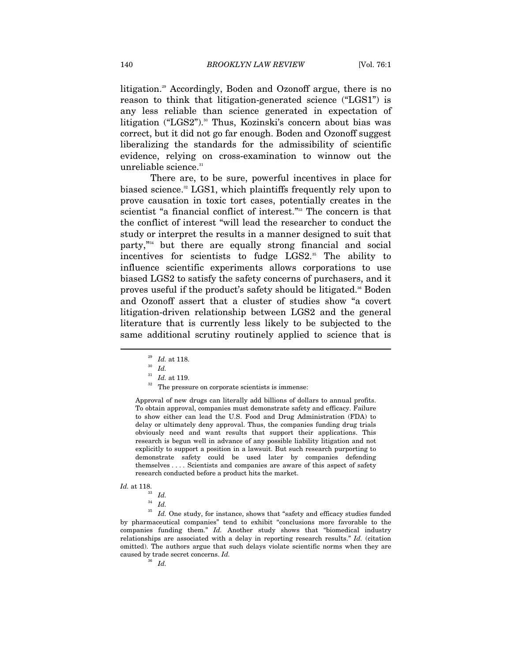litigation.<sup>29</sup> Accordingly, Boden and Ozonoff argue, there is no reason to think that litigation-generated science ("LGS1") is any less reliable than science generated in expectation of litigation ("LGS2").<sup>30</sup> Thus, Kozinski's concern about bias was correct, but it did not go far enough. Boden and Ozonoff suggest liberalizing the standards for the admissibility of scientific evidence, relying on cross-examination to winnow out the unreliable science.<sup>31</sup>

There are, to be sure, powerful incentives in place for biased science.<sup>32</sup> LGS1, which plaintiffs frequently rely upon to prove causation in toxic tort cases, potentially creates in the scientist "a financial conflict of interest."33 The concern is that the conflict of interest "will lead the researcher to conduct the study or interpret the results in a manner designed to suit that party,"34 but there are equally strong financial and social incentives for scientists to fudge  $LGS2$ .<sup>35</sup> The ability to influence scientific experiments allows corporations to use biased LGS2 to satisfy the safety concerns of purchasers, and it proves useful if the product's safety should be litigated.<sup>36</sup> Boden and Ozonoff assert that a cluster of studies show "a covert litigation-driven relationship between LGS2 and the general literature that is currently less likely to be subjected to the same additional scrutiny routinely applied to science that is

Approval of new drugs can literally add billions of dollars to annual profits. To obtain approval, companies must demonstrate safety and efficacy. Failure to show either can lead the U.S. Food and Drug Administration (FDA) to delay or ultimately deny approval. Thus, the companies funding drug trials obviously need and want results that support their applications. This research is begun well in advance of any possible liability litigation and not explicitly to support a position in a lawsuit. But such research purporting to demonstrate safety could be used later by companies defending themselves . . . . Scientists and companies are aware of this aspect of safety research conducted before a product hits the market.

*Id.* at 118.  $Id.$   $\frac{33}{1}$  *Id.* 

 $\overline{a}$ 

 $^\mathrm{35}$   $\,$   $\!ld$  . One study, for instance, shows that "safety and efficacy studies funded by pharmaceutical companies" tend to exhibit "conclusions more favorable to the companies funding them." *Id.* Another study shows that "biomedical industry relationships are associated with a delay in reporting research results." *Id.* (citation omitted). The authors argue that such delays violate scientific norms when they are caused by trade secret concerns. *Id.* 

<sup>36</sup> *Id.* 

<sup>29</sup> *Id.* at 118. 30 *Id.* 

<sup>&</sup>lt;sup>32</sup> The pressure on corporate scientists is immense:

<sup>34</sup> *Id.*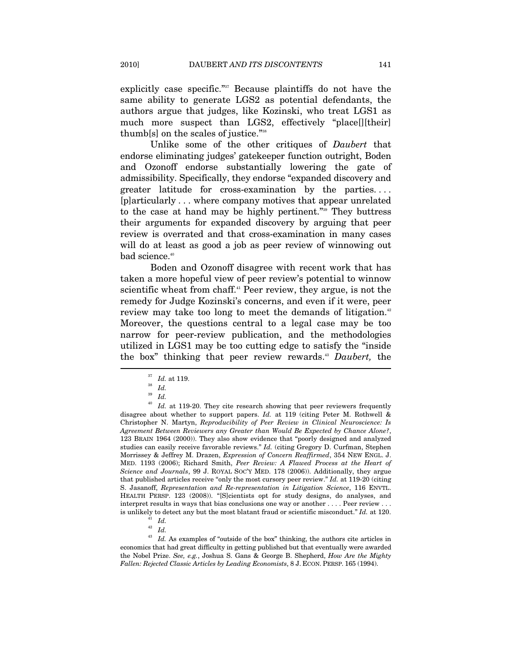explicitly case specific."<sup>37</sup> Because plaintiffs do not have the same ability to generate LGS2 as potential defendants, the authors argue that judges, like Kozinski, who treat LGS1 as much more suspect than LGS2, effectively "place[][their] thumb[s] on the scales of justice."38

Unlike some of the other critiques of *Daubert* that endorse eliminating judges' gatekeeper function outright, Boden and Ozonoff endorse substantially lowering the gate of admissibility. Specifically, they endorse "expanded discovery and greater latitude for cross-examination by the parties. . . . [p]articularly . . . where company motives that appear unrelated to the case at hand may be highly pertinent."39 They buttress their arguments for expanded discovery by arguing that peer review is overrated and that cross-examination in many cases will do at least as good a job as peer review of winnowing out bad science.<sup>40</sup>

Boden and Ozonoff disagree with recent work that has taken a more hopeful view of peer review's potential to winnow scientific wheat from chaff.<sup>41</sup> Peer review, they argue, is not the remedy for Judge Kozinski's concerns, and even if it were, peer review may take too long to meet the demands of litigation.<sup>42</sup> Moreover, the questions central to a legal case may be too narrow for peer-review publication, and the methodologies utilized in LGS1 may be too cutting edge to satisfy the "inside the box" thinking that peer review rewards.43 *Daubert,* the

<sup>43</sup> Id. As examples of "outside of the box" thinking, the authors cite articles in economics that had great difficulty in getting published but that eventually were awarded the Nobel Prize. *See, e.g.*, Joshua S. Gans & George B. Shepherd, *How Are the Mighty Fallen: Rejected Classic Articles by Leading Economists*, 8 J. ECON. PERSP. 165 (1994).

<sup>37</sup> *Id.* at 119. 38 *Id.* 

<sup>39</sup> *Id.* 

<sup>&</sup>lt;sup>40</sup> Id. at 119-20. They cite research showing that peer reviewers frequently disagree about whether to support papers. *Id.* at 119 (citing Peter M. Rothwell & Christopher N. Martyn, *Reproducibility of Peer Review in Clinical Neuroscience: Is Agreement Between Reviewers any Greater than Would Be Expected by Chance Alone?*, 123 BRAIN 1964 (2000)). They also show evidence that "poorly designed and analyzed studies can easily receive favorable reviews." *Id.* (citing Gregory D. Curfman, Stephen Morrissey & Jeffrey M. Drazen, *Expression of Concern Reaffirmed*, 354 NEW ENGL. J. MED. 1193 (2006); Richard Smith, *Peer Review: A Flawed Process at the Heart of Science and Journals*, 99 J. ROYAL SOC'Y MED. 178 (2006)). Additionally, they argue that published articles receive "only the most cursory peer review." *Id.* at 119-20 (citing S. Jasanoff, *Representation and Re-representation in Litigation Science*, 116 ENVTL. HEALTH PERSP. 123 (2008)). "[S]cientists opt for study designs, do analyses, and interpret results in ways that bias conclusions one way or another . . . . Peer review . . . is unlikely to detect any but the most blatant fraud or scientific misconduct."  $Id$ . at 120.  $Id$ .

<sup>42</sup> *Id.*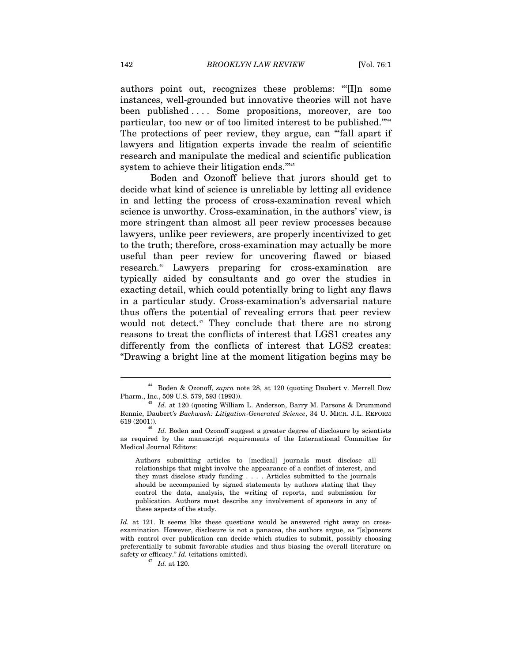authors point out, recognizes these problems: "'[I]n some instances, well-grounded but innovative theories will not have been published . . . . Some propositions, moreover, are too particular, too new or of too limited interest to be published.'"44 The protections of peer review, they argue, can "fall apart if lawyers and litigation experts invade the realm of scientific research and manipulate the medical and scientific publication system to achieve their litigation ends."<sup>45</sup>

Boden and Ozonoff believe that jurors should get to decide what kind of science is unreliable by letting all evidence in and letting the process of cross-examination reveal which science is unworthy. Cross-examination, in the authors' view, is more stringent than almost all peer review processes because lawyers, unlike peer reviewers, are properly incentivized to get to the truth; therefore, cross-examination may actually be more useful than peer review for uncovering flawed or biased research.<sup>46</sup> Lawyers preparing for cross-examination are typically aided by consultants and go over the studies in exacting detail, which could potentially bring to light any flaws in a particular study. Cross-examination's adversarial nature thus offers the potential of revealing errors that peer review would not detect. $47$  They conclude that there are no strong reasons to treat the conflicts of interest that LGS1 creates any differently from the conflicts of interest that LGS2 creates: "Drawing a bright line at the moment litigation begins may be

<sup>44</sup> Boden & Ozonoff, *supra* note 28, at 120 (quoting Daubert v. Merrell Dow Pharm., Inc*.*, 509 U.S. 579, 593 (1993)). 45 *Id.* at 120 (quoting William L. Anderson, Barry M. Parsons & Drummond

Rennie, Daubert*'s Backwash: Litigation-Generated Science*, 34 U. MICH. J.L. REFORM 619 (2001)). 46 *Id.* Boden and Ozonoff suggest a greater degree of disclosure by scientists

as required by the manuscript requirements of the International Committee for Medical Journal Editors:

Authors submitting articles to [medical] journals must disclose all relationships that might involve the appearance of a conflict of interest, and they must disclose study funding . . . . Articles submitted to the journals should be accompanied by signed statements by authors stating that they control the data, analysis, the writing of reports, and submission for publication. Authors must describe any involvement of sponsors in any of these aspects of the study.

*Id.* at 121. It seems like these questions would be answered right away on crossexamination. However, disclosure is not a panacea, the authors argue, as "[s]ponsors with control over publication can decide which studies to submit, possibly choosing preferentially to submit favorable studies and thus biasing the overall literature on safety or efficacy."  $Id.$  (citations omitted).  $Id.$  at 120.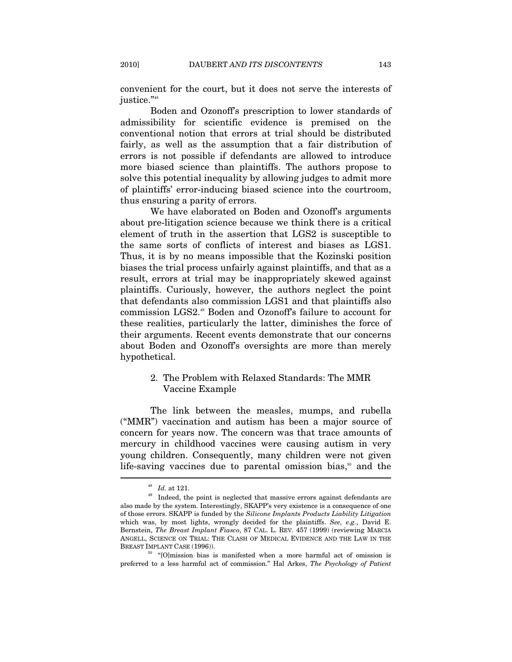convenient for the court, but it does not serve the interests of justice."<sup>48</sup>

Boden and Ozonoff's prescription to lower standards of admissibility for scientific evidence is premised on the conventional notion that errors at trial should be distributed fairly, as well as the assumption that a fair distribution of errors is not possible if defendants are allowed to introduce more biased science than plaintiffs. The authors propose to solve this potential inequality by allowing judges to admit more of plaintiffs' error-inducing biased science into the courtroom, thus ensuring a parity of errors.

We have elaborated on Boden and Ozonoff's arguments about pre-litigation science because we think there is a critical element of truth in the assertion that LGS2 is susceptible to the same sorts of conflicts of interest and biases as LGS1. Thus, it is by no means impossible that the Kozinski position biases the trial process unfairly against plaintiffs, and that as a result, errors at trial may be inappropriately skewed against plaintiffs. Curiously, however, the authors neglect the point that defendants also commission LGS1 and that plaintiffs also commission LGS2.49 Boden and Ozonoff's failure to account for these realities, particularly the latter, diminishes the force of their arguments. Recent events demonstrate that our concerns about Boden and Ozonoff's oversights are more than merely hypothetical.

# 2. The Problem with Relaxed Standards: The MMR Vaccine Example

The link between the measles, mumps, and rubella ("MMR") vaccination and autism has been a major source of concern for years now. The concern was that trace amounts of mercury in childhood vaccines were causing autism in very young children. Consequently, many children were not given life-saving vaccines due to parental omission bias,<sup>50</sup> and the

<sup>&</sup>lt;sup>48</sup> *Id.* at 121.<br><sup>49</sup> Indeed, the point is neglected that massive errors against defendants are also made by the system. Interestingly, SKAPP's very existence is a consequence of one of those errors. SKAPP is funded by the *Silicone Implants Products Liability Litigation* which was, by most lights, wrongly decided for the plaintiffs. *See, e.g.*, David E. Bernstein, *The Breast Implant Fiasco*, 87 CAL. L. REV. 457 (1999) (reviewing MARCIA ANGELL, SCIENCE ON TRIAL: THE CLASH OF MEDICAL EVIDENCE AND THE LAW IN THE

BREAST IMPLANT CASE (1996)).  $^{50}$  "[O]mission bias is manifested when a more harmful act of omission is preferred to a less harmful act of commission." Hal Arkes, *The Psychology of Patient*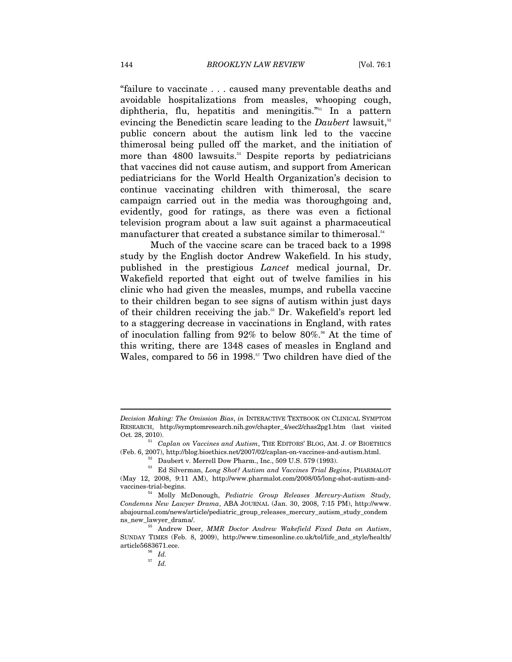"failure to vaccinate . . . caused many preventable deaths and avoidable hospitalizations from measles, whooping cough, diphtheria, flu, hepatitis and meningitis."51 In a pattern evincing the Benedictin scare leading to the *Daubert* lawsuit,<sup>52</sup> public concern about the autism link led to the vaccine thimerosal being pulled off the market, and the initiation of more than 4800 lawsuits.<sup>53</sup> Despite reports by pediatricians that vaccines did not cause autism, and support from American pediatricians for the World Health Organization's decision to continue vaccinating children with thimerosal, the scare campaign carried out in the media was thoroughgoing and, evidently, good for ratings, as there was even a fictional television program about a law suit against a pharmaceutical manufacturer that created a substance similar to thimerosal.<sup>54</sup>

Much of the vaccine scare can be traced back to a 1998 study by the English doctor Andrew Wakefield. In his study, published in the prestigious *Lancet* medical journal, Dr. Wakefield reported that eight out of twelve families in his clinic who had given the measles, mumps, and rubella vaccine to their children began to see signs of autism within just days of their children receiving the jab.<sup>55</sup> Dr. Wakefield's report led to a staggering decrease in vaccinations in England, with rates of inoculation falling from  $92\%$  to below  $80\%$ <sup>56</sup> At the time of this writing, there are 1348 cases of measles in England and Wales, compared to 56 in 1998.<sup>57</sup> Two children have died of the

% (Feb. 6, 2007), http://blog.bioethics.net/2007/02/caplan-on-vaccines-and-autism.html.<br><sup>52</sup> Daubert v. Merrell Dow Pharm., Inc., 509 U.S. 579 (1993).<br><sup>53</sup> Ed Silverman, *Long Shot? Autism and Vaccines Trial Begins*, PHAR

*Decision Making: The Omission Bias*, *in* INTERACTIVE TEXTBOOK ON CLINICAL SYMPTOM RESEARCH, http://symptomresearch.nih.gov/chapter\_4/sec2/chas2pg1.htm (last visited Oct. 28, 2010). 51 *Caplan on Vaccines and Autism*, THE EDITORS' BLOG, AM. J. OF BIOETHICS

<sup>(</sup>May 12, 2008, 9:11 AM), http://www.pharmalot.com/2008/05/long-shot-autism-and-

vaccines-trial-begins. 54 Molly McDonough, *Pediatric Group Releases Mercury-Autism Study, Condemns New Lawyer Drama*, ABA JOURNAL (Jan. 30, 2008, 7:15 PM), http://www. abajournal.com/news/article/pediatric\_group\_releases\_mercury\_autism\_study\_condem

ns\_new\_lawyer\_drama/. 55 Andrew Deer, *MMR Doctor Andrew Wakefield Fixed Data on Autism*, SUNDAY TIMES (Feb. 8, 2009), http://www.timesonline.co.uk/tol/life\_and\_style/health/ article5683671.ece.<br> $\frac{56}{10}$  *Id.* 

<sup>57</sup> *Id.*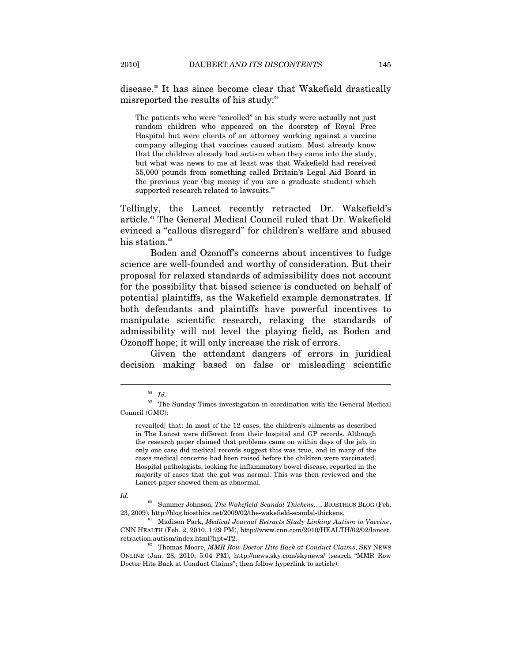disease.58 It has since become clear that Wakefield drastically misreported the results of his study:<sup>59</sup>

The patients who were "enrolled" in his study were actually not just random children who appeared on the doorstep of Royal Free Hospital but were clients of an attorney working against a vaccine company alleging that vaccines caused autism. Most already know that the children already had autism when they came into the study, but what was news to me at least was that Wakefield had received 55,000 pounds from something called Britain's Legal Aid Board in the previous year (big money if you are a graduate student) which supported research related to lawsuits.<sup>60</sup>

Tellingly, the Lancet recently retracted Dr. Wakefield's article.<sup>61</sup> The General Medical Council ruled that Dr. Wakefield evinced a "callous disregard" for children's welfare and abused his station. $62$ 

Boden and Ozonoff's concerns about incentives to fudge science are well-founded and worthy of consideration. But their proposal for relaxed standards of admissibility does not account for the possibility that biased science is conducted on behalf of potential plaintiffs, as the Wakefield example demonstrates. If both defendants and plaintiffs have powerful incentives to manipulate scientific research, relaxing the standards of admissibility will not level the playing field, as Boden and Ozonoff hope; it will only increase the risk of errors.

Given the attendant dangers of errors in juridical decision making based on false or misleading scientific

 $rac{58}{59}$  *Id.* 

The Sunday Times investigation in coordination with the General Medical Council (GMC):

reveal[ed] that: In most of the 12 cases, the children's ailments as described in The Lancet were different from their hospital and GP records. Although the research paper claimed that problems came on within days of the jab, in only one case did medical records suggest this was true, and in many of the cases medical concerns had been raised before the children were vaccinated. Hospital pathologists, looking for inflammatory bowel disease, reported in the majority of cases that the gut was normal. This was then reviewed and the Lancet paper showed them as abnormal.

*Id.* 

<sup>&</sup>lt;sup>60</sup> Summer Johnson, *The Wakefield Scandal Thickens*..., BIOETHICS BLOG (Feb. 23, 2009), http://blog.bioethics.net/2009/02/the-wakefield-scandal-thickens.

<sup>23, 2009),</sup> Madison Park, *Medical Journal Retracts Study Linking Autism to Vaccine*, CNN HEALTH (Feb. 2, 2010, 1:29 PM), http://www.cnn.com/2010/HEALTH/02/02/lancet. retraction.autism/index.html?hpt=T2. 62 Thomas Moore, *MMR Row Doctor Hits Back at Conduct Claims*, SKY NEWS

ONLINE (Jan. 28, 2010, 5:04 PM), http://news.sky.com/skynews/ (search "MMR Row Doctor Hits Back at Conduct Claims"; then follow hyperlink to article).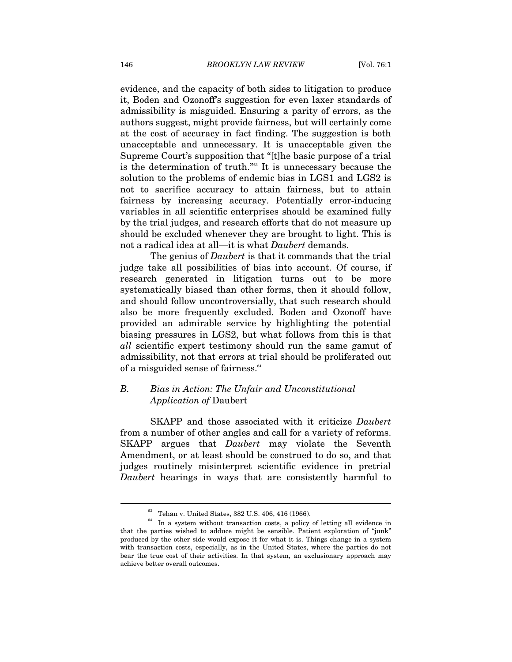evidence, and the capacity of both sides to litigation to produce it, Boden and Ozonoff's suggestion for even laxer standards of admissibility is misguided. Ensuring a parity of errors, as the authors suggest, might provide fairness, but will certainly come at the cost of accuracy in fact finding. The suggestion is both unacceptable and unnecessary. It is unacceptable given the Supreme Court's supposition that "[t]he basic purpose of a trial is the determination of truth."63 It is unnecessary because the solution to the problems of endemic bias in LGS1 and LGS2 is not to sacrifice accuracy to attain fairness, but to attain fairness by increasing accuracy. Potentially error-inducing variables in all scientific enterprises should be examined fully by the trial judges, and research efforts that do not measure up should be excluded whenever they are brought to light. This is not a radical idea at all—it is what *Daubert* demands.

The genius of *Daubert* is that it commands that the trial judge take all possibilities of bias into account. Of course, if research generated in litigation turns out to be more systematically biased than other forms, then it should follow, and should follow uncontroversially, that such research should also be more frequently excluded. Boden and Ozonoff have provided an admirable service by highlighting the potential biasing pressures in LGS2, but what follows from this is that *all* scientific expert testimony should run the same gamut of admissibility, not that errors at trial should be proliferated out of a misguided sense of fairness.<sup>64</sup>

# *B. Bias in Action: The Unfair and Unconstitutional Application of* Daubert

SKAPP and those associated with it criticize *Daubert*  from a number of other angles and call for a variety of reforms. SKAPP argues that *Daubert* may violate the Seventh Amendment, or at least should be construed to do so, and that judges routinely misinterpret scientific evidence in pretrial *Daubert* hearings in ways that are consistently harmful to

<sup>&</sup>lt;sup>63</sup> Tehan v. United States, 382 U.S. 406, 416 (1966).<br><sup>64</sup> In a system without transaction costs, a policy of letting all evidence in that the parties wished to adduce might be sensible. Patient exploration of "junk" produced by the other side would expose it for what it is. Things change in a system with transaction costs, especially, as in the United States, where the parties do not bear the true cost of their activities. In that system, an exclusionary approach may achieve better overall outcomes.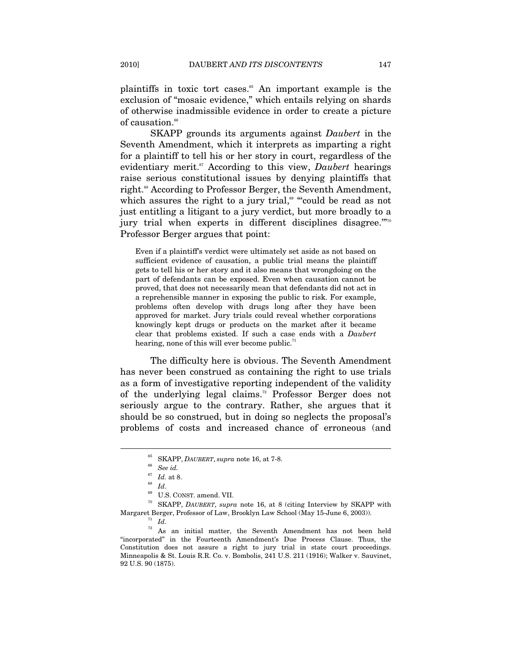plaintiffs in toxic tort cases.<sup>65</sup> An important example is the exclusion of "mosaic evidence," which entails relying on shards of otherwise inadmissible evidence in order to create a picture of causation.<sup>66</sup>

SKAPP grounds its arguments against *Daubert* in the Seventh Amendment, which it interprets as imparting a right for a plaintiff to tell his or her story in court, regardless of the evidentiary merit.<sup>67</sup> According to this view, *Daubert* hearings raise serious constitutional issues by denying plaintiffs that right.<sup>68</sup> According to Professor Berger, the Seventh Amendment, which assures the right to a jury trial,<sup> $\omega$ </sup> "could be read as not just entitling a litigant to a jury verdict, but more broadly to a jury trial when experts in different disciplines disagree."<sup>770</sup> Professor Berger argues that point:

Even if a plaintiff's verdict were ultimately set aside as not based on sufficient evidence of causation, a public trial means the plaintiff gets to tell his or her story and it also means that wrongdoing on the part of defendants can be exposed. Even when causation cannot be proved, that does not necessarily mean that defendants did not act in a reprehensible manner in exposing the public to risk. For example, problems often develop with drugs long after they have been approved for market. Jury trials could reveal whether corporations knowingly kept drugs or products on the market after it became clear that problems existed. If such a case ends with a *Daubert*  hearing, none of this will ever become public.<sup>71</sup>

The difficulty here is obvious. The Seventh Amendment has never been construed as containing the right to use trials as a form of investigative reporting independent of the validity of the underlying legal claims.72 Professor Berger does not seriously argue to the contrary. Rather, she argues that it should be so construed, but in doing so neglects the proposal's problems of costs and increased chance of erroneous (and

 $^{65}_{\phantom{66}66}$  SKAPP, *DAUBERT*, *supra* note 16, at 7-8.  $^{66}_{\phantom{66}66}$  *See id. Id.* at 8.

<sup>&</sup>lt;sup>68</sup> Id.<br><sup>69</sup> U.S. CONST. amend. VII.<br><sup>70</sup> SKAPP, *DAUBERT*, *supra* note 16, at 8 (citing Interview by SKAPP with Margaret Berger, Professor of Law, Brooklyn Law School (May 15-June 6, 2003)). 71 *Id.*

 $72\,$  As an initial matter, the Seventh Amendment has not been held "incorporated" in the Fourteenth Amendment's Due Process Clause. Thus, the Constitution does not assure a right to jury trial in state court proceedings. Minneapolis & St. Louis R.R. Co. v. Bombolis, 241 U.S. 211 (1916); Walker v. Sauvinet, 92 U.S. 90 (1875).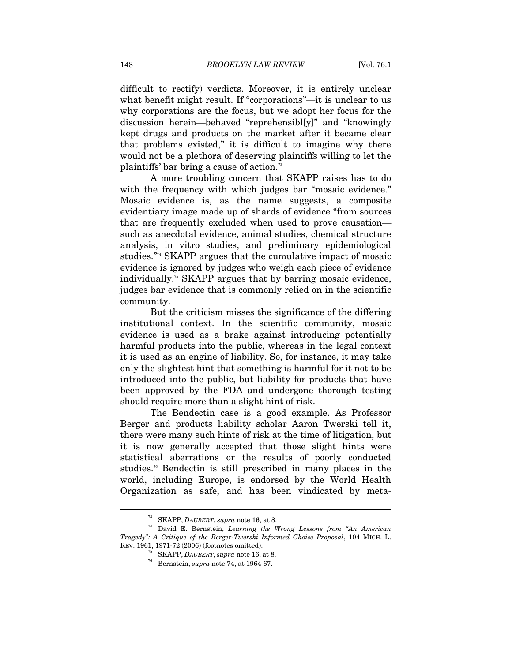difficult to rectify) verdicts. Moreover, it is entirely unclear what benefit might result. If "corporations"—it is unclear to us why corporations are the focus, but we adopt her focus for the discussion herein—behaved "reprehensibl[y]" and "knowingly kept drugs and products on the market after it became clear that problems existed," it is difficult to imagine why there would not be a plethora of deserving plaintiffs willing to let the plaintiffs' bar bring a cause of action.<sup>73</sup>

A more troubling concern that SKAPP raises has to do with the frequency with which judges bar "mosaic evidence." Mosaic evidence is, as the name suggests, a composite evidentiary image made up of shards of evidence "from sources that are frequently excluded when used to prove causation such as anecdotal evidence, animal studies, chemical structure analysis, in vitro studies, and preliminary epidemiological studies."74 SKAPP argues that the cumulative impact of mosaic evidence is ignored by judges who weigh each piece of evidence individually.<sup>75</sup> SKAPP argues that by barring mosaic evidence, judges bar evidence that is commonly relied on in the scientific community.

But the criticism misses the significance of the differing institutional context. In the scientific community, mosaic evidence is used as a brake against introducing potentially harmful products into the public, whereas in the legal context it is used as an engine of liability. So, for instance, it may take only the slightest hint that something is harmful for it not to be introduced into the public, but liability for products that have been approved by the FDA and undergone thorough testing should require more than a slight hint of risk.

The Bendectin case is a good example. As Professor Berger and products liability scholar Aaron Twerski tell it, there were many such hints of risk at the time of litigation, but it is now generally accepted that those slight hints were statistical aberrations or the results of poorly conducted studies.<sup>76</sup> Bendectin is still prescribed in many places in the world, including Europe, is endorsed by the World Health Organization as safe, and has been vindicated by meta-

<sup>73</sup> SKAPP, *DAUBERT*, *supra* note 16, at 8. 74 David E. Bernstein, *Learning the Wrong Lessons from "An American Tragedy": A Critique of the Berger-Twerski Informed Choice Proposal*, 104 MICH. L. REV. 1961, 1971-72 (2006) (footnotes omitted). 75 SKAPP, *DAUBERT*, *supra* note 16, at 8. 76 Bernstein, *supra* note 74, at 1964-67.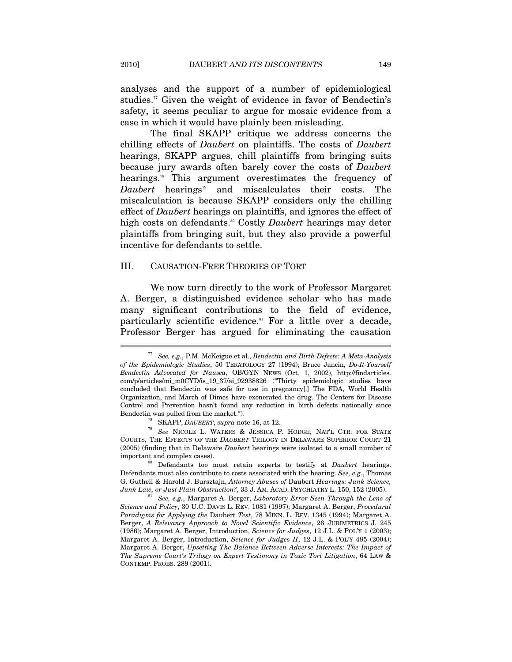analyses and the support of a number of epidemiological studies.<sup>77</sup> Given the weight of evidence in favor of Bendectin's safety, it seems peculiar to argue for mosaic evidence from a case in which it would have plainly been misleading.

The final SKAPP critique we address concerns the chilling effects of *Daubert* on plaintiffs. The costs of *Daubert*  hearings, SKAPP argues, chill plaintiffs from bringing suits because jury awards often barely cover the costs of *Daubert*  hearings.<sup>78</sup> This argument overestimates the frequency of *Daubert* hearings<sup>79</sup> and miscalculates their costs. The miscalculation is because SKAPP considers only the chilling effect of *Daubert* hearings on plaintiffs, and ignores the effect of high costs on defendants.<sup>80</sup> Costly *Daubert* hearings may deter plaintiffs from bringing suit, but they also provide a powerful incentive for defendants to settle.

#### III. CAUSATION-FREE THEORIES OF TORT

We now turn directly to the work of Professor Margaret A. Berger, a distinguished evidence scholar who has made many significant contributions to the field of evidence, particularly scientific evidence.<sup>81</sup> For a little over a decade, Professor Berger has argued for eliminating the causation

<sup>77</sup> *See, e.g.*, P.M. McKeigue et al., *Bendectin and Birth Defects: A Meta-Analysis of the Epidemiologic Studies*, 50 TERATOLOGY 27 (1994); Bruce Jancin, *Do-It-Yourself Bendectin Advocated for Nausea*, OB/GYN NEWS (Oct. 1, 2002), http://findarticles. com/p/articles/mi\_m0CYD/is\_19\_37/ai\_92938826 ("Thirty epidemiologic studies have concluded that Bendectin was safe for use in pregnancy[.] The FDA, World Health Organization, and March of Dimes have exonerated the drug. The Centers for Disease Control and Prevention hasn't found any reduction in birth defects nationally since Bendectin was pulled from the market.")*.*

<sup>78</sup> SKAPP, *DAUBERT*, *supra* note 16, at 12. 79 *See* NICOLE L. WATERS & JESSICA P. HODGE, NAT'L CTR. FOR STATE COURTS, THE EFFECTS OF THE *DAUBERT* TRILOGY IN DELAWARE SUPERIOR COURT 21 (2005) (finding that in Delaware *Daubert* hearings were isolated to a small number of important and complex cases). 80 Defendants too must retain experts to testify at *Daubert* hearings.

Defendants must also contribute to costs associated with the hearing. *See, e.g.*, Thomas G. Gutheil & Harold J. Bursztajn, *Attorney Abuses of* Daubert *Hearings: Junk Science,* 

*Junk Law, or Just Plain Obstruction?*, 33 J. AM. ACAD. PSYCHIATRY L. 150, 152 (2005).<br><sup>81</sup> See, e.g., Margaret A. Berger, *Laboratory Error Seen Through the Lens of Science and Policy*, 30 U.C. DAVIS L. REV. 1081 (1997); Margaret A. Berger, *Procedural Paradigms for Applying the* Daubert *Test*, 78 MINN. L. REV. 1345 (1994); Margaret A. Berger, *A Relevancy Approach to Novel Scientific Evidence*, 26 JURIMETRICS J. 245 (1986); Margaret A. Berger, Introduction, *Science for Judges*, 12 J.L. & POL'Y 1 (2003); Margaret A. Berger, Introduction, *Science for Judges II*, 12 J.L. & POL'Y 485 (2004); Margaret A. Berger, *Upsetting The Balance Between Adverse Interests: The Impact of The Supreme Court's Trilogy on Expert Testimony in Toxic Tort Litigation*, 64 LAW & CONTEMP. PROBS. 289 (2001).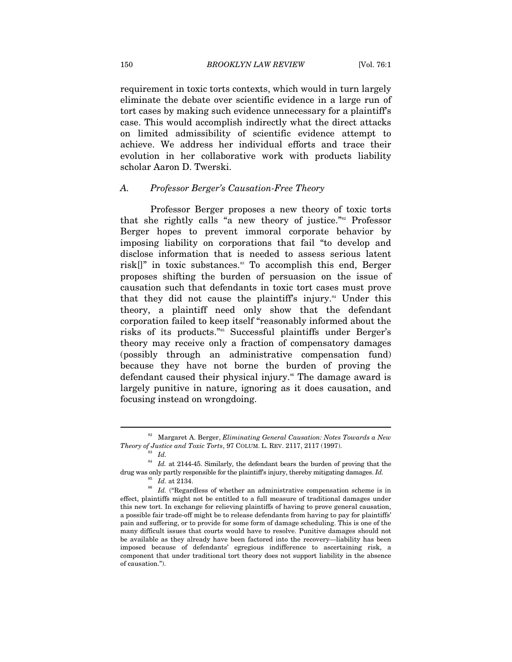requirement in toxic torts contexts, which would in turn largely eliminate the debate over scientific evidence in a large run of tort cases by making such evidence unnecessary for a plaintiff's case. This would accomplish indirectly what the direct attacks on limited admissibility of scientific evidence attempt to achieve. We address her individual efforts and trace their evolution in her collaborative work with products liability scholar Aaron D. Twerski.

## *A. Professor Berger's Causation-Free Theory*

Professor Berger proposes a new theory of toxic torts that she rightly calls "a new theory of justice."<sup>82</sup> Professor Berger hopes to prevent immoral corporate behavior by imposing liability on corporations that fail "to develop and disclose information that is needed to assess serious latent risk $[]$ " in toxic substances.<sup>33</sup> To accomplish this end, Berger proposes shifting the burden of persuasion on the issue of causation such that defendants in toxic tort cases must prove that they did not cause the plaintiff's injury.<sup>84</sup> Under this theory, a plaintiff need only show that the defendant corporation failed to keep itself "reasonably informed about the risks of its products."85 Successful plaintiffs under Berger's theory may receive only a fraction of compensatory damages (possibly through an administrative compensation fund) because they have not borne the burden of proving the defendant caused their physical injury.<sup>86</sup> The damage award is largely punitive in nature, ignoring as it does causation, and focusing instead on wrongdoing.

<sup>&</sup>lt;sup>82</sup> Margaret A. Berger, *Eliminating General Causation: Notes Towards a New* Theory of Justice and Toxic Torts, 97 COLUM. L. REV. 2117, 2117 (1997). *Theory of Justice and Toxic Torts*, 97 COLUM. L. REV. 2117, 2117 (1997). 83 *Id.* 

 $84$  *Id.* at 2144-45. Similarly, the defendant bears the burden of proving that the drug was only partly responsible for the plaintiff's injury, thereby mitigating damages. *Id.* 

<sup>&</sup>lt;sup>85</sup> *Id.* at 2134.<br><sup>86</sup> *Id.* ("Regardless of whether an administrative compensation scheme is in effect, plaintiffs might not be entitled to a full measure of traditional damages under this new tort. In exchange for relieving plaintiffs of having to prove general causation, a possible fair trade-off might be to release defendants from having to pay for plaintiffs' pain and suffering, or to provide for some form of damage scheduling. This is one of the many difficult issues that courts would have to resolve. Punitive damages should not be available as they already have been factored into the recovery—liability has been imposed because of defendants' egregious indifference to ascertaining risk, a component that under traditional tort theory does not support liability in the absence of causation.").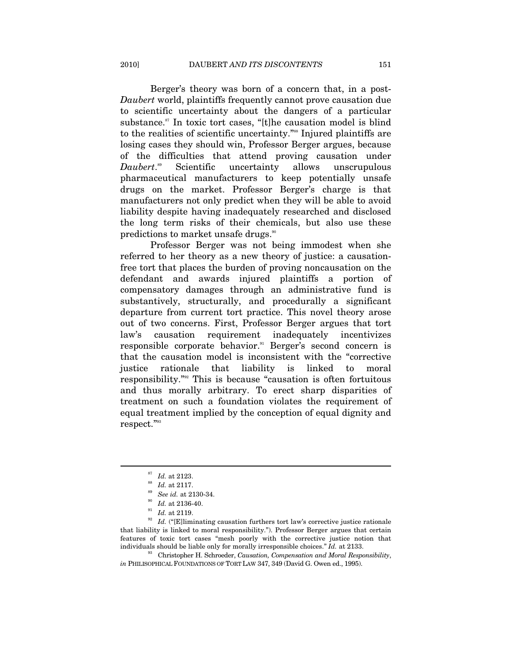Berger's theory was born of a concern that, in a post-*Daubert* world, plaintiffs frequently cannot prove causation due to scientific uncertainty about the dangers of a particular substance. $\mathbf{S}^{\text{st}}$  In toxic tort cases, "[t]he causation model is blind to the realities of scientific uncertainty."<sup>88</sup> Injured plaintiffs are losing cases they should win, Professor Berger argues, because of the difficulties that attend proving causation under *Daubert*. Scientific uncertainty allows unscrupulous pharmaceutical manufacturers to keep potentially unsafe drugs on the market. Professor Berger's charge is that manufacturers not only predict when they will be able to avoid liability despite having inadequately researched and disclosed the long term risks of their chemicals, but also use these predictions to market unsafe drugs.<sup>90</sup>

Professor Berger was not being immodest when she referred to her theory as a new theory of justice: a causationfree tort that places the burden of proving noncausation on the defendant and awards injured plaintiffs a portion of compensatory damages through an administrative fund is substantively, structurally, and procedurally a significant departure from current tort practice. This novel theory arose out of two concerns. First, Professor Berger argues that tort law's causation requirement inadequately incentivizes responsible corporate behavior.<sup>91</sup> Berger's second concern is that the causation model is inconsistent with the "corrective justice rationale that liability is linked to moral responsibility."92 This is because "causation is often fortuitous and thus morally arbitrary. To erect sharp disparities of treatment on such a foundation violates the requirement of equal treatment implied by the conception of equal dignity and respect."93

<sup>&</sup>lt;sup>87</sup> Id. at 2123.<br><sup>88</sup> Id. at 2117.<br><sup>89</sup> Id. at 2136-40.<br><sup>91</sup> Id. at 2119.<br><sup>92</sup> Id. ("[E]liminating causation furthers tort law's corrective justice rationale that liability is linked to moral responsibility."). Professor Berger argues that certain features of toxic tort cases "mesh poorly with the corrective justice notion that individuals should be liable only for morally irresponsible choices." *Id.* at 2133. 93 Christopher H. Schroeder, *Causation, Compensation and Moral Responsibility*,

*in* PHILISOPHICAL FOUNDATIONS OF TORT LAW 347, 349 (David G. Owen ed., 1995).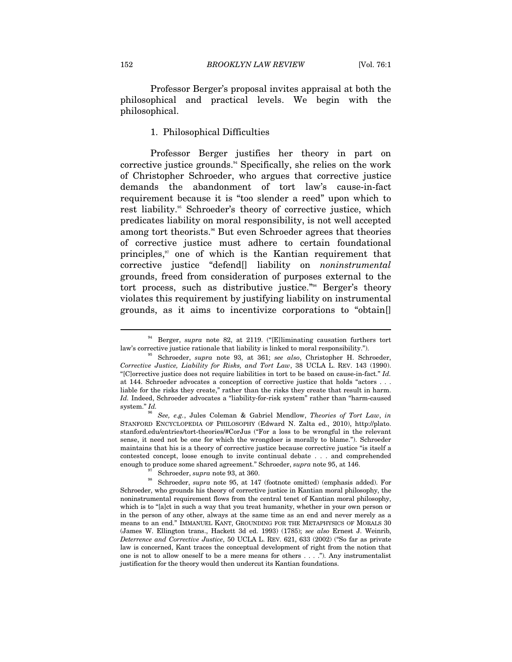Professor Berger's proposal invites appraisal at both the philosophical and practical levels. We begin with the philosophical.

#### 1. Philosophical Difficulties

Professor Berger justifies her theory in part on corrective justice grounds.<sup>94</sup> Specifically, she relies on the work of Christopher Schroeder, who argues that corrective justice demands the abandonment of tort law's cause-in-fact requirement because it is "too slender a reed" upon which to rest liability.<sup>35</sup> Schroeder's theory of corrective justice, which predicates liability on moral responsibility, is not well accepted among tort theorists.<sup>86</sup> But even Schroeder agrees that theories of corrective justice must adhere to certain foundational principles,97 one of which is the Kantian requirement that corrective justice "defend[] liability on *noninstrumental* grounds, freed from consideration of purposes external to the tort process, such as distributive justice."98 Berger's theory violates this requirement by justifying liability on instrumental grounds, as it aims to incentivize corporations to "obtain[]

<sup>94</sup> Berger, *supra* note 82, at 2119. ("[E]liminating causation furthers tort

law's corrective justice rationale that liability is linked to moral responsibility."). 95 Schroeder, *supra* note 93, at 361; *see also*, Christopher H. Schroeder, *Corrective Justice, Liability for Risks, and Tort Law*, 38 UCLA L. REV. 143 (1990). "[C]orrective justice does not require liabilities in tort to be based on cause-in-fact." *Id.*  at 144. Schroeder advocates a conception of corrective justice that holds "actors . . . liable for the risks they create," rather than the risks they create that result in harm. *Id.* Indeed, Schroeder advocates a "liability-for-risk system" rather than "harm-caused system." *Id.*

<sup>96</sup> *See, e.g.*, Jules Coleman & Gabriel Mendlow, *Theories of Tort Law*, *in*  STANFORD ENCYCLOPEDIA OF PHILOSOPHY (Edward N. Zalta ed., 2010), http://plato. stanford.edu/entries/tort-theories/#CorJus ("For a loss to be wrongful in the relevant sense, it need not be one for which the wrongdoer is morally to blame."). Schroeder maintains that his is a theory of corrective justice because corrective justice "is itself a contested concept, loose enough to invite continual debate . . . and comprehended enough to produce some shared agreement." Schroeder, *supra* note 95, at 146.

<sup>&</sup>lt;sup>97</sup> Schroeder, *supra* note 93, at 360.<br><sup>98</sup> Schroeder, *supra* note 95, at 147 (footnote omitted) (emphasis added). For Schroeder, who grounds his theory of corrective justice in Kantian moral philosophy, the noninstrumental requirement flows from the central tenet of Kantian moral philosophy, which is to "[a]ct in such a way that you treat humanity, whether in your own person or in the person of any other, always at the same time as an end and never merely as a means to an end." IMMANUEL KANT, GROUNDING FOR THE METAPHYSICS OF MORALS 30 (James W. Ellington trans., Hackett 3d ed. 1993) (1785); *see also* Ernest J. Weinrib, *Deterrence and Corrective Justice*, 50 UCLA L. REV. 621, 633 (2002) ("So far as private law is concerned, Kant traces the conceptual development of right from the notion that one is not to allow oneself to be a mere means for others . . . ."). Any instrumentalist justification for the theory would then undercut its Kantian foundations.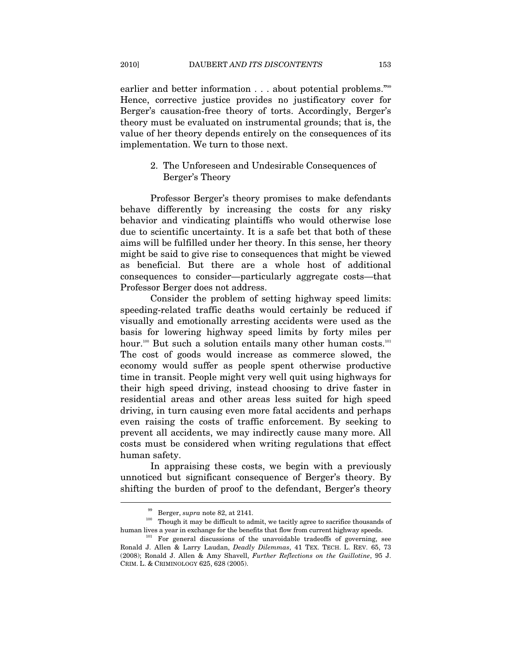earlier and better information . . . about potential problems."<sup>99</sup> Hence, corrective justice provides no justificatory cover for Berger's causation-free theory of torts. Accordingly, Berger's theory must be evaluated on instrumental grounds; that is, the value of her theory depends entirely on the consequences of its implementation. We turn to those next.

# 2. The Unforeseen and Undesirable Consequences of Berger's Theory

Professor Berger's theory promises to make defendants behave differently by increasing the costs for any risky behavior and vindicating plaintiffs who would otherwise lose due to scientific uncertainty. It is a safe bet that both of these aims will be fulfilled under her theory. In this sense, her theory might be said to give rise to consequences that might be viewed as beneficial. But there are a whole host of additional consequences to consider—particularly aggregate costs—that Professor Berger does not address.

Consider the problem of setting highway speed limits: speeding-related traffic deaths would certainly be reduced if visually and emotionally arresting accidents were used as the basis for lowering highway speed limits by forty miles per hour.<sup>100</sup> But such a solution entails many other human costs.<sup>101</sup> The cost of goods would increase as commerce slowed, the economy would suffer as people spent otherwise productive time in transit. People might very well quit using highways for their high speed driving, instead choosing to drive faster in residential areas and other areas less suited for high speed driving, in turn causing even more fatal accidents and perhaps even raising the costs of traffic enforcement. By seeking to prevent all accidents, we may indirectly cause many more. All costs must be considered when writing regulations that effect human safety.

In appraising these costs, we begin with a previously unnoticed but significant consequence of Berger's theory. By shifting the burden of proof to the defendant, Berger's theory

<sup>&</sup>lt;sup>99</sup> Berger, *supra* note 82, at 2141.<br><sup>100</sup> Though it may be difficult to admit, we tacitly agree to sacrifice thousands of human lives a year in exchange for the benefits that flow from current highway speeds.<br><sup>101</sup> For general discussions of the unavoidable tradeoffs of governing, see

Ronald J. Allen & Larry Laudan, *Deadly Dilemmas*, 41 TEX. TECH. L. REV. 65, 73 (2008); Ronald J. Allen & Amy Shavell, *Further Reflections on the Guillotine*, 95 J. CRIM. L. & CRIMINOLOGY 625, 628 (2005).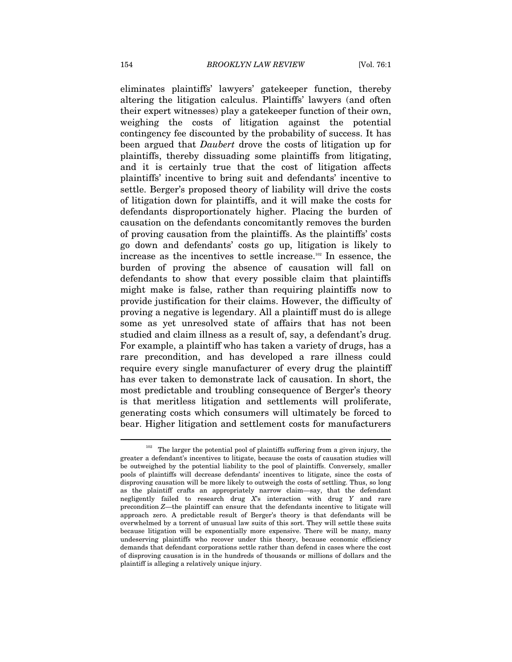eliminates plaintiffs' lawyers' gatekeeper function, thereby altering the litigation calculus. Plaintiffs' lawyers (and often their expert witnesses) play a gatekeeper function of their own, weighing the costs of litigation against the potential contingency fee discounted by the probability of success. It has been argued that *Daubert* drove the costs of litigation up for plaintiffs, thereby dissuading some plaintiffs from litigating, and it is certainly true that the cost of litigation affects plaintiffs' incentive to bring suit and defendants' incentive to settle. Berger's proposed theory of liability will drive the costs of litigation down for plaintiffs, and it will make the costs for defendants disproportionately higher. Placing the burden of causation on the defendants concomitantly removes the burden of proving causation from the plaintiffs. As the plaintiffs' costs go down and defendants' costs go up, litigation is likely to increase as the incentives to settle increase.102 In essence, the burden of proving the absence of causation will fall on defendants to show that every possible claim that plaintiffs might make is false, rather than requiring plaintiffs now to provide justification for their claims. However, the difficulty of proving a negative is legendary. All a plaintiff must do is allege some as yet unresolved state of affairs that has not been studied and claim illness as a result of, say, a defendant's drug. For example, a plaintiff who has taken a variety of drugs, has a rare precondition, and has developed a rare illness could require every single manufacturer of every drug the plaintiff has ever taken to demonstrate lack of causation. In short, the most predictable and troubling consequence of Berger's theory is that meritless litigation and settlements will proliferate, generating costs which consumers will ultimately be forced to bear. Higher litigation and settlement costs for manufacturers

 $102$  The larger the potential pool of plaintiffs suffering from a given injury, the greater a defendant's incentives to litigate, because the costs of causation studies will be outweighed by the potential liability to the pool of plaintiffs. Conversely, smaller pools of plaintiffs will decrease defendants' incentives to litigate, since the costs of disproving causation will be more likely to outweigh the costs of settling. Thus, so long as the plaintiff crafts an appropriately narrow claim—say, that the defendant negligently failed to research drug *X*'s interaction with drug *Y* and rare precondition *Z*—the plaintiff can ensure that the defendants incentive to litigate will approach zero. A predictable result of Berger's theory is that defendants will be overwhelmed by a torrent of unusual law suits of this sort. They will settle these suits because litigation will be exponentially more expensive. There will be many, many undeserving plaintiffs who recover under this theory, because economic efficiency demands that defendant corporations settle rather than defend in cases where the cost of disproving causation is in the hundreds of thousands or millions of dollars and the plaintiff is alleging a relatively unique injury.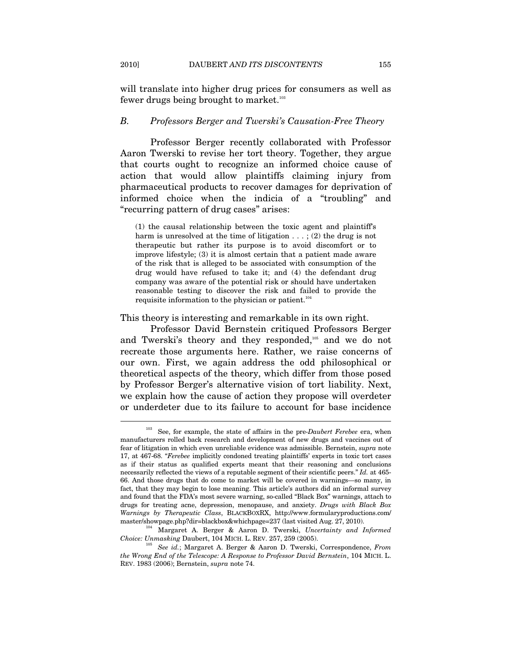will translate into higher drug prices for consumers as well as fewer drugs being brought to market.<sup>103</sup>

#### *B. Professors Berger and Twerski's Causation-Free Theory*

Professor Berger recently collaborated with Professor Aaron Twerski to revise her tort theory. Together, they argue that courts ought to recognize an informed choice cause of action that would allow plaintiffs claiming injury from pharmaceutical products to recover damages for deprivation of informed choice when the indicia of a "troubling" and "recurring pattern of drug cases" arises:

(1) the causal relationship between the toxic agent and plaintiff's harm is unresolved at the time of litigation  $\dots$ ; (2) the drug is not therapeutic but rather its purpose is to avoid discomfort or to improve lifestyle; (3) it is almost certain that a patient made aware of the risk that is alleged to be associated with consumption of the drug would have refused to take it; and (4) the defendant drug company was aware of the potential risk or should have undertaken reasonable testing to discover the risk and failed to provide the requisite information to the physician or patient. $104$ 

This theory is interesting and remarkable in its own right.

Professor David Bernstein critiqued Professors Berger and Twerski's theory and they responded,<sup>105</sup> and we do not recreate those arguments here. Rather, we raise concerns of our own. First, we again address the odd philosophical or theoretical aspects of the theory, which differ from those posed by Professor Berger's alternative vision of tort liability. Next, we explain how the cause of action they propose will overdeter or underdeter due to its failure to account for base incidence

<sup>103</sup> See, for example, the state of affairs in the pre-*Daubert Ferebee* era, when manufacturers rolled back research and development of new drugs and vaccines out of fear of litigation in which even unreliable evidence was admissible. Bernstein, *supra* note 17, at 467-68. "*Ferebee* implicitly condoned treating plaintiffs' experts in toxic tort cases as if their status as qualified experts meant that their reasoning and conclusions necessarily reflected the views of a reputable segment of their scientific peers." *Id.* at 465- 66. And those drugs that do come to market will be covered in warnings—so many, in fact, that they may begin to lose meaning. This article's authors did an informal survey and found that the FDA's most severe warning, so-called "Black Box" warnings, attach to drugs for treating acne, depression, menopause, and anxiety. *Drugs with Black Box Warnings by Therapeutic Class*, BLACKBOXRX, http://www.formularyproductions.com/ master/showpage.php?dir=blackbox&whichpage=237 (last visited Aug. 27, 2010). 104 Margaret A. Berger & Aaron D. Twerski, *Uncertainty and Informed* 

*Choice: Unmasking* Daubert, 104 MICH. L. REV. 257, 259 (2005). 105 *See id.*; Margaret A. Berger & Aaron D. Twerski, Correspondence, *From* 

*the Wrong End of the Telescope: A Response to Professor David Bernstein*, 104 MICH. L. REV. 1983 (2006); Bernstein, *supra* note 74.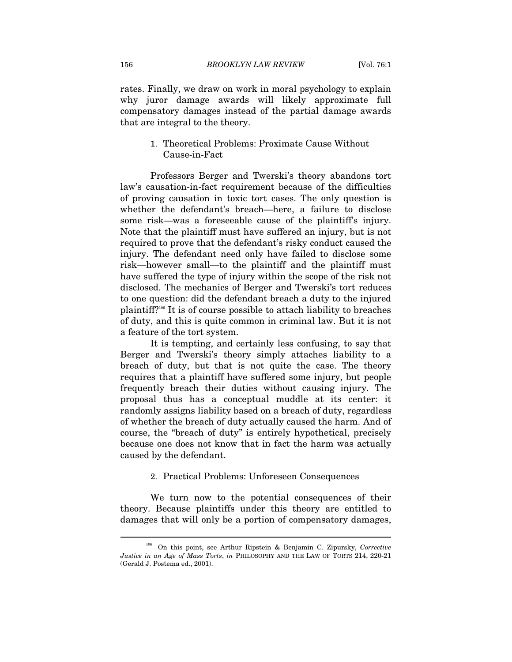rates. Finally, we draw on work in moral psychology to explain why juror damage awards will likely approximate full compensatory damages instead of the partial damage awards that are integral to the theory.

# 1. Theoretical Problems: Proximate Cause Without Cause-in-Fact

Professors Berger and Twerski's theory abandons tort law's causation-in-fact requirement because of the difficulties of proving causation in toxic tort cases. The only question is whether the defendant's breach—here, a failure to disclose some risk—was a fore seeable cause of the plaintiff's injury. Note that the plaintiff must have suffered an injury, but is not required to prove that the defendant's risky conduct caused the injury. The defendant need only have failed to disclose some risk—however small—to the plaintiff and the plaintiff must have suffered the type of injury within the scope of the risk not disclosed. The mechanics of Berger and Twerski's tort reduces to one question: did the defendant breach a duty to the injured plaintiff?106 It is of course possible to attach liability to breaches of duty, and this is quite common in criminal law. But it is not a feature of the tort system.

It is tempting, and certainly less confusing, to say that Berger and Twerski's theory simply attaches liability to a breach of duty, but that is not quite the case. The theory requires that a plaintiff have suffered some injury, but people frequently breach their duties without causing injury. The proposal thus has a conceptual muddle at its center: it randomly assigns liability based on a breach of duty, regardless of whether the breach of duty actually caused the harm. And of course, the "breach of duty" is entirely hypothetical, precisely because one does not know that in fact the harm was actually caused by the defendant.

#### 2. Practical Problems: Unforeseen Consequences

We turn now to the potential consequences of their theory. Because plaintiffs under this theory are entitled to damages that will only be a portion of compensatory damages,

<sup>106</sup> On this point, see Arthur Ripstein & Benjamin C. Zipursky, *Corrective Justice in an Age of Mass Torts*, *in* PHILOSOPHY AND THE LAW OF TORTS 214, 220-21 (Gerald J. Postema ed., 2001).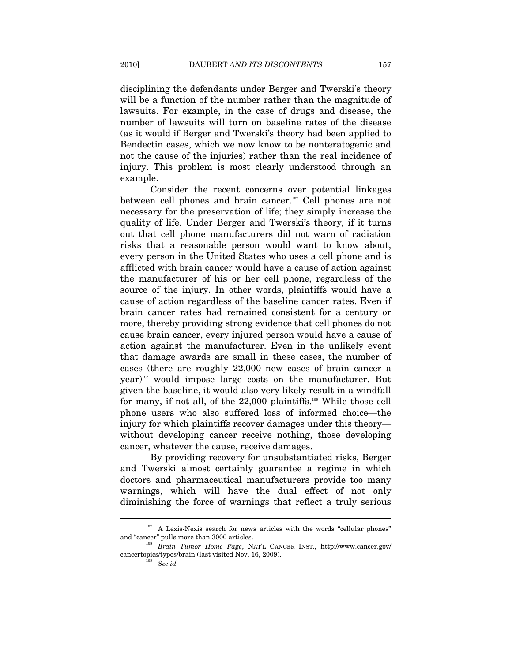disciplining the defendants under Berger and Twerski's theory will be a function of the number rather than the magnitude of lawsuits. For example, in the case of drugs and disease, the number of lawsuits will turn on baseline rates of the disease (as it would if Berger and Twerski's theory had been applied to Bendectin cases, which we now know to be nonteratogenic and not the cause of the injuries) rather than the real incidence of injury. This problem is most clearly understood through an example.

Consider the recent concerns over potential linkages between cell phones and brain cancer.107 Cell phones are not necessary for the preservation of life; they simply increase the quality of life. Under Berger and Twerski's theory, if it turns out that cell phone manufacturers did not warn of radiation risks that a reasonable person would want to know about, every person in the United States who uses a cell phone and is afflicted with brain cancer would have a cause of action against the manufacturer of his or her cell phone, regardless of the source of the injury. In other words, plaintiffs would have a cause of action regardless of the baseline cancer rates. Even if brain cancer rates had remained consistent for a century or more, thereby providing strong evidence that cell phones do not cause brain cancer, every injured person would have a cause of action against the manufacturer. Even in the unlikely event that damage awards are small in these cases, the number of cases (there are roughly 22,000 new cases of brain cancer a year)108 would impose large costs on the manufacturer. But given the baseline, it would also very likely result in a windfall for many, if not all, of the 22,000 plaintiffs.<sup>109</sup> While those cell phone users who also suffered loss of informed choice—the injury for which plaintiffs recover damages under this theory without developing cancer receive nothing, those developing cancer, whatever the cause, receive damages.

By providing recovery for unsubstantiated risks, Berger and Twerski almost certainly guarantee a regime in which doctors and pharmaceutical manufacturers provide too many warnings, which will have the dual effect of not only diminishing the force of warnings that reflect a truly serious

 $107$  A Lexis-Nexis search for news articles with the words "cellular phones" and "cancer" pulls more than 3000 articles.<br><sup>108</sup> Brain Tumor Home Page, NAT'L CANCER INST., http://www.cancer.gov/

cancertopics/types/brain (last visited Nov. 16, 2009). See id.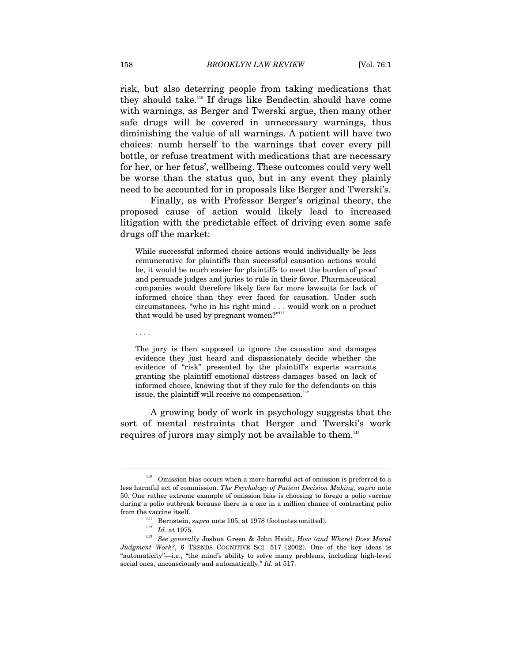risk, but also deterring people from taking medications that they should take.110 If drugs like Bendectin should have come with warnings, as Berger and Twerski argue, then many other safe drugs will be covered in unnecessary warnings, thus diminishing the value of all warnings. A patient will have two choices: numb herself to the warnings that cover every pill bottle, or refuse treatment with medications that are necessary for her, or her fetus', wellbeing. These outcomes could very well be worse than the status quo, but in any event they plainly need to be accounted for in proposals like Berger and Twerski's.

Finally, as with Professor Berger's original theory, the proposed cause of action would likely lead to increased litigation with the predictable effect of driving even some safe drugs off the market:

While successful informed choice actions would individually be less remunerative for plaintiffs than successful causation actions would be, it would be much easier for plaintiffs to meet the burden of proof and persuade judges and juries to rule in their favor. Pharmaceutical companies would therefore likely face far more lawsuits for lack of informed choice than they ever faced for causation. Under such circumstances, "who in his right mind . . . would work on a product that would be used by pregnant women?"<sup>111</sup>

. . . .

 $\overline{a}$ 

The jury is then supposed to ignore the causation and damages evidence they just heard and dispassionately decide whether the evidence of "risk" presented by the plaintiff's experts warrants granting the plaintiff emotional distress damages based on lack of informed choice, knowing that if they rule for the defendants on this issue, the plaintiff will receive no compensation. $^{112}$ 

A growing body of work in psychology suggests that the sort of mental restraints that Berger and Twerski's work requires of jurors may simply not be available to them.<sup>113</sup>

 $110$  Omission bias occurs when a more harmful act of omission is preferred to a less harmful act of commission. *The Psychology of Patient Decision Making*, *supra* note 50. One rather extreme example of omission bias is choosing to forego a polio vaccine during a polio outbreak because there is a one in a million chance of contracting polio from the vaccine itself.

from the vaccine itself. 111 Bernstein, *supra* note 105, at 1978 (footnotes omitted). 112 *Id.* at 1975. 113 *See generally* Joshua Green & John Haidt, *How (and Where) Does Moral Judgment Work?*, 6 TRENDS COGNITIVE SCI. 517 (2002). One of the key ideas is "automaticity"—i.e., "the mind's ability to solve many problems, including high-level social ones, unconsciously and automatically." *Id.* at 517.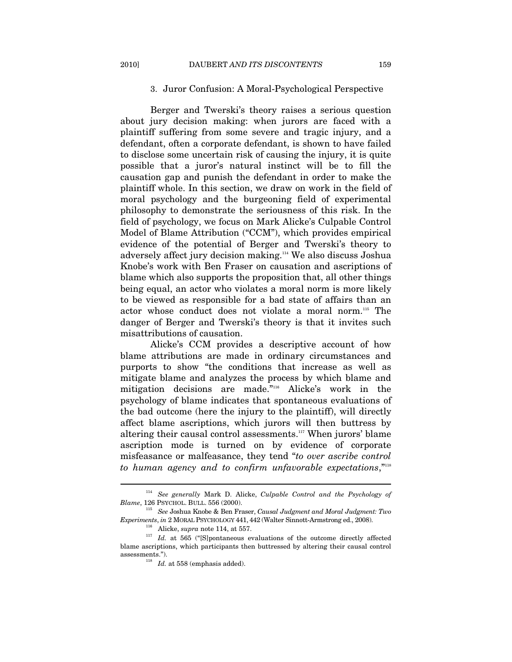## 3. Juror Confusion: A Moral-Psychological Perspective

Berger and Twerski's theory raises a serious question about jury decision making: when jurors are faced with a plaintiff suffering from some severe and tragic injury, and a defendant, often a corporate defendant, is shown to have failed to disclose some uncertain risk of causing the injury, it is quite possible that a juror's natural instinct will be to fill the causation gap and punish the defendant in order to make the plaintiff whole. In this section, we draw on work in the field of moral psychology and the burgeoning field of experimental philosophy to demonstrate the seriousness of this risk. In the field of psychology, we focus on Mark Alicke's Culpable Control Model of Blame Attribution ("CCM"), which provides empirical evidence of the potential of Berger and Twerski's theory to adversely affect jury decision making.114 We also discuss Joshua Knobe's work with Ben Fraser on causation and ascriptions of blame which also supports the proposition that, all other things being equal, an actor who violates a moral norm is more likely to be viewed as responsible for a bad state of affairs than an actor whose conduct does not violate a moral norm.115 The danger of Berger and Twerski's theory is that it invites such misattributions of causation.

Alicke's CCM provides a descriptive account of how blame attributions are made in ordinary circumstances and purports to show "the conditions that increase as well as mitigate blame and analyzes the process by which blame and mitigation decisions are made."116 Alicke's work in the psychology of blame indicates that spontaneous evaluations of the bad outcome (here the injury to the plaintiff), will directly affect blame ascriptions, which jurors will then buttress by altering their causal control assessments.<sup>117</sup> When jurors' blame ascription mode is turned on by evidence of corporate misfeasance or malfeasance, they tend "*to over ascribe control to human agency and to confirm unfavorable expectations*,"118

<sup>&</sup>lt;sup>114</sup> See generally Mark D. Alicke, *Culpable Control and the Psychology of Blame*, 126 PSYCHOL. BULL. 556 (2000).

<sup>&</sup>lt;sup>115</sup> See Joshua Knobe & Ben Fraser, *Causal Judgment and Moral Judgment: Two Experiments, in 2 MORAL PSYCHOLOGY 441, 442 (Walter Sinnott-Armstrong ed., 2008).* 

<sup>&</sup>lt;sup>116</sup> Alicke, *supra* note 114, at 557.  $Id.$  at 565 ("[S]pontaneous evaluations of the outcome directly affected blame ascriptions, which participants then buttressed by altering their causal control assessments.").<br><sup>118</sup> *Id.* at 558 (emphasis added).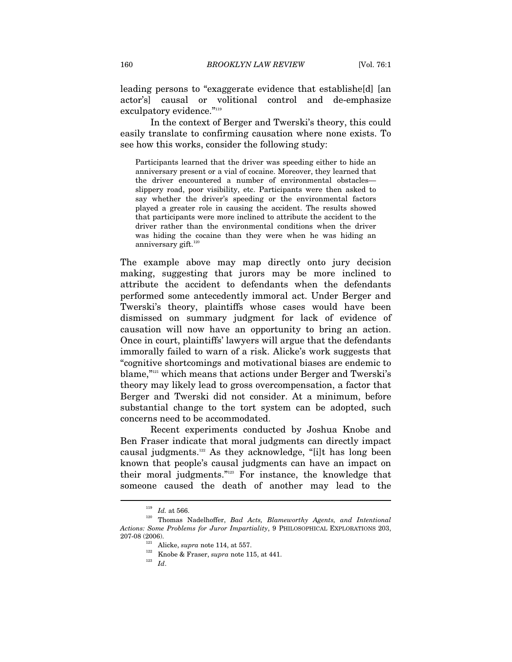leading persons to "exaggerate evidence that establishe[d] [an actor's] causal or volitional control and de-emphasize exculpatory evidence."<sup>119</sup>

In the context of Berger and Twerski's theory, this could easily translate to confirming causation where none exists. To see how this works, consider the following study:

Participants learned that the driver was speeding either to hide an anniversary present or a vial of cocaine. Moreover, they learned that the driver encountered a number of environmental obstacles slippery road, poor visibility, etc. Participants were then asked to say whether the driver's speeding or the environmental factors played a greater role in causing the accident. The results showed that participants were more inclined to attribute the accident to the driver rather than the environmental conditions when the driver was hiding the cocaine than they were when he was hiding an anniversary gift. $120$ 

The example above may map directly onto jury decision making, suggesting that jurors may be more inclined to attribute the accident to defendants when the defendants performed some antecedently immoral act. Under Berger and Twerski's theory, plaintiffs whose cases would have been dismissed on summary judgment for lack of evidence of causation will now have an opportunity to bring an action. Once in court, plaintiffs' lawyers will argue that the defendants immorally failed to warn of a risk. Alicke's work suggests that "cognitive shortcomings and motivational biases are endemic to blame,"121 which means that actions under Berger and Twerski's theory may likely lead to gross overcompensation, a factor that Berger and Twerski did not consider. At a minimum, before substantial change to the tort system can be adopted, such concerns need to be accommodated.

Recent experiments conducted by Joshua Knobe and Ben Fraser indicate that moral judgments can directly impact causal judgments.122 As they acknowledge, "[i]t has long been known that people's causal judgments can have an impact on their moral judgments."123 For instance, the knowledge that someone caused the death of another may lead to the

<sup>119</sup> *Id.* at 566. 120 Thomas Nadelhoffer, *Bad Acts, Blameworthy Agents, and Intentional Actions: Some Problems for Juror Impartiality*, 9 PHILOSOPHICAL EXPLORATIONS 203, 207-08 (2006). 121 Alicke, *supra* note 114, at 557. 122 Knobe & Fraser, *supra* note 115, at 441. 123 *Id*.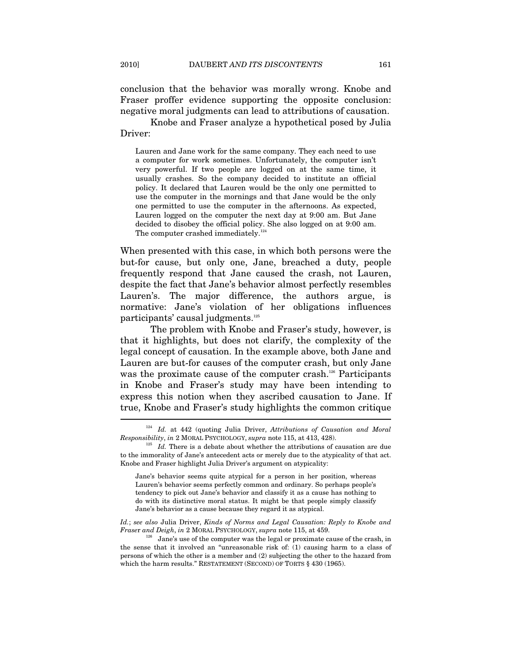conclusion that the behavior was morally wrong. Knobe and Fraser proffer evidence supporting the opposite conclusion: negative moral judgments can lead to attributions of causation.

Knobe and Fraser analyze a hypothetical posed by Julia Driver:

Lauren and Jane work for the same company. They each need to use a computer for work sometimes. Unfortunately, the computer isn't very powerful. If two people are logged on at the same time, it usually crashes. So the company decided to institute an official policy. It declared that Lauren would be the only one permitted to use the computer in the mornings and that Jane would be the only one permitted to use the computer in the afternoons. As expected, Lauren logged on the computer the next day at 9:00 am. But Jane decided to disobey the official policy. She also logged on at 9:00 am. The computer crashed immediately.<sup>124</sup>

When presented with this case, in which both persons were the but-for cause, but only one, Jane, breached a duty, people frequently respond that Jane caused the crash, not Lauren, despite the fact that Jane's behavior almost perfectly resembles Lauren's. The major difference, the authors argue, is normative: Jane's violation of her obligations influences participants' causal judgments.<sup>125</sup>

The problem with Knobe and Fraser's study, however, is that it highlights, but does not clarify, the complexity of the legal concept of causation. In the example above, both Jane and Lauren are but-for causes of the computer crash, but only Jane was the proximate cause of the computer crash.<sup>126</sup> Participants in Knobe and Fraser's study may have been intending to express this notion when they ascribed causation to Jane. If true, Knobe and Fraser's study highlights the common critique l

*Id.*; *see also* Julia Driver, *Kinds of Norms and Legal Causation: Reply to Knobe and Fraser and Deigh*, *in* 2 MORAL PSYCHOLOGY, *supra* note 115, at 459.<br><sup>126</sup> Jane's use of the computer was the legal or proximate cause of the crash, in

<sup>&</sup>lt;sup>124</sup> *Id.* at 442 (quoting Julia Driver, *Attributions of Causation and Moral Responsibility, in* 2 MORAL PSYCHOLOGY, *supra* note 115, at 413, 428).

<sup>&</sup>lt;sup>125</sup> *Id.* There is a debate about whether the attributions of causation are due to the immorality of Jane's antecedent acts or merely due to the atypicality of that act. Knobe and Fraser highlight Julia Driver's argument on atypicality:

Jane's behavior seems quite atypical for a person in her position, whereas Lauren's behavior seems perfectly common and ordinary. So perhaps people's tendency to pick out Jane's behavior and classify it as a cause has nothing to do with its distinctive moral status. It might be that people simply classify Jane's behavior as a cause because they regard it as atypical.

the sense that it involved an "unreasonable risk of: (1) causing harm to a class of persons of which the other is a member and (2) subjecting the other to the hazard from which the harm results." RESTATEMENT (SECOND) OF TORTS § 430 (1965).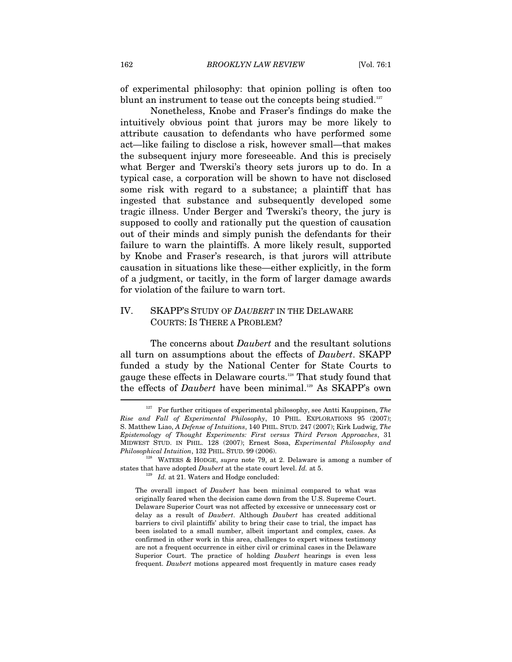of experimental philosophy: that opinion polling is often too blunt an instrument to tease out the concepts being studied.<sup>127</sup>

Nonetheless, Knobe and Fraser's findings do make the intuitively obvious point that jurors may be more likely to attribute causation to defendants who have performed some act—like failing to disclose a risk, however small—that makes the subsequent injury more foreseeable. And this is precisely what Berger and Twerski's theory sets jurors up to do. In a typical case, a corporation will be shown to have not disclosed some risk with regard to a substance; a plaintiff that has ingested that substance and subsequently developed some tragic illness. Under Berger and Twerski's theory, the jury is supposed to coolly and rationally put the question of causation out of their minds and simply punish the defendants for their failure to warn the plaintiffs. A more likely result, supported by Knobe and Fraser's research, is that jurors will attribute causation in situations like these—either explicitly, in the form of a judgment, or tacitly, in the form of larger damage awards for violation of the failure to warn tort.

# IV. SKAPP'S STUDY OF *DAUBERT* IN THE DELAWARE COURTS: IS THERE A PROBLEM?

The concerns about *Daubert* and the resultant solutions all turn on assumptions about the effects of *Daubert*. SKAPP funded a study by the National Center for State Courts to gauge these effects in Delaware courts.128 That study found that the effects of *Daubert* have been minimal.<sup>129</sup> As SKAPP's own

<sup>127</sup> For further critiques of experimental philosophy, see Antti Kauppinen, *The Rise and Fall of Experimental Philosophy*, 10 PHIL. EXPLORATIONS 95 (2007); S. Matthew Liao, *A Defense of Intuitions*, 140 PHIL. STUD. 247 (2007); Kirk Ludwig, *The Epistemology of Thought Experiments: First versus Third Person Approaches*, 31 MIDWEST STUD. IN PHIL. 128 (2007); Ernest Sosa, *Experimental Philosophy and* 

<sup>&</sup>lt;sup>128</sup> WATERS & HODGE, *supra* note 79, at 2. Delaware is among a number of states that have adopted *Daubert* at the state court level. *Id.* at 5.<br><sup>129</sup> *Id.* at 21. Waters and Hodge concluded:

The overall impact of *Daubert* has been minimal compared to what was originally feared when the decision came down from the U.S. Supreme Court. Delaware Superior Court was not affected by excessive or unnecessary cost or delay as a result of *Daubert*. Although *Daubert* has created additional barriers to civil plaintiffs' ability to bring their case to trial, the impact has been isolated to a small number, albeit important and complex, cases. As confirmed in other work in this area, challenges to expert witness testimony are not a frequent occurrence in either civil or criminal cases in the Delaware Superior Court. The practice of holding *Daubert* hearings is even less frequent. *Daubert* motions appeared most frequently in mature cases ready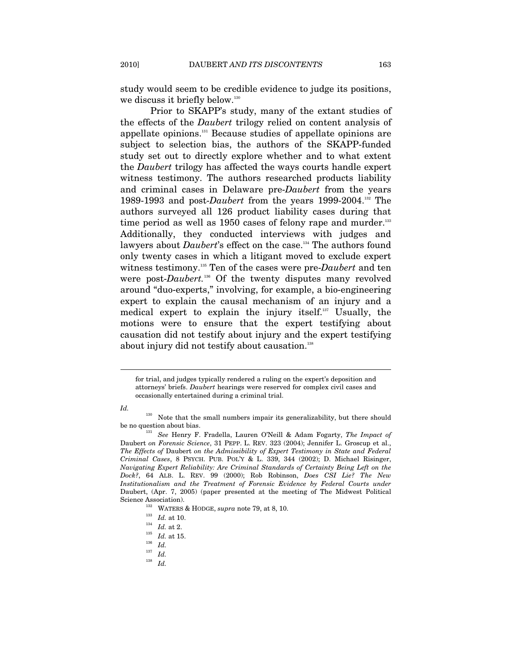study would seem to be credible evidence to judge its positions, we discuss it briefly below.<sup>130</sup>

Prior to SKAPP's study, many of the extant studies of the effects of the *Daubert* trilogy relied on content analysis of appellate opinions.131 Because studies of appellate opinions are subject to selection bias, the authors of the SKAPP-funded study set out to directly explore whether and to what extent the *Daubert* trilogy has affected the ways courts handle expert witness testimony. The authors researched products liability and criminal cases in Delaware pre-*Daubert* from the years 1989-1993 and post-*Daubert* from the years 1999-2004.132 The authors surveyed all 126 product liability cases during that time period as well as  $1950$  cases of felony rape and murder.<sup>133</sup> Additionally, they conducted interviews with judges and lawyers about *Daubert*'s effect on the case.<sup>34</sup> The authors found only twenty cases in which a litigant moved to exclude expert witness testimony.135 Ten of the cases were pre-*Daubert* and ten were post-*Daubert.*<sup>136</sup> Of the twenty disputes many revolved around "duo-experts," involving, for example, a bio-engineering expert to explain the causal mechanism of an injury and a medical expert to explain the injury itself.137 Usually, the motions were to ensure that the expert testifying about causation did not testify about injury and the expert testifying about injury did not testify about causation.<sup>138</sup>

*Id.* 

 $\overline{a}$ 

<sup>138</sup> *Id.*

for trial, and judges typically rendered a ruling on the expert's deposition and attorneys' briefs. *Daubert* hearings were reserved for complex civil cases and occasionally entertained during a criminal trial.

<sup>&</sup>lt;sup>130</sup> Note that the small numbers impair its generalizability, but there should be no question about bias. 131 *See* Henry F. Fradella, Lauren O'Neill & Adam Fogarty, *The Impact of* 

Daubert *on Forensic Science*, 31 PEPP. L. REV. 323 (2004); Jennifer L. Groscup et al., *The Effects of* Daubert *on the Admissibility of Expert Testimony in State and Federal Criminal Cases*, 8 PSYCH. PUB. POL'Y & L. 339, 344 (2002); D. Michael Risinger, *Navigating Expert Reliability: Are Criminal Standards of Certainty Being Left on the Dock?*, 64 ALB. L. REV. 99 (2000); Rob Robinson, *Does CSI Lie? The New Institutionalism and the Treatment of Forensic Evidence by Federal Courts under*  Daubert, (Apr. 7, 2005) (paper presented at the meeting of The Midwest Political Science Association).<br>
<sup>132</sup> WATERS & HODGE, *supra* note 79, at 8, 10.<br>
<sup>133</sup> *Id.* at 10.<br>
<sup>134</sup> *Id.* at 15.<br>
<sup>136</sup> *Id.* 

 $^{137}$   $\,$   $Id.$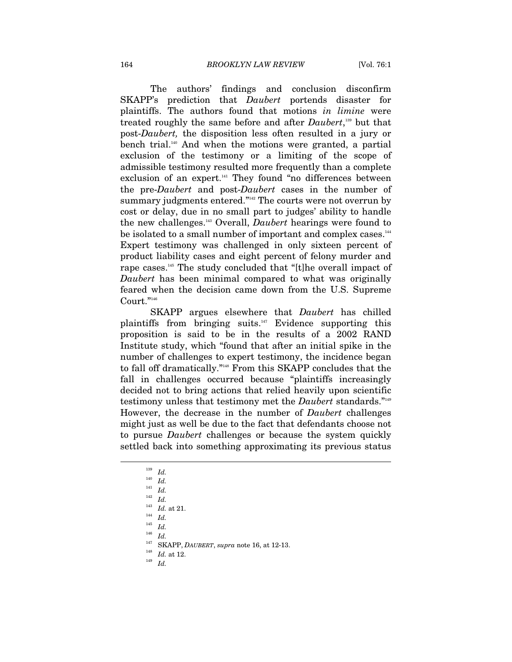The authors' findings and conclusion disconfirm SKAPP's prediction that *Daubert* portends disaster for plaintiffs. The authors found that motions *in limine* were treated roughly the same before and after *Daubert*, 139 but that post-*Daubert,* the disposition less often resulted in a jury or bench trial.<sup>140</sup> And when the motions were granted, a partial exclusion of the testimony or a limiting of the scope of admissible testimony resulted more frequently than a complete exclusion of an expert.<sup>141</sup> They found "no differences between the pre-*Daubert* and post-*Daubert* cases in the number of summary judgments entered."<sup>142</sup> The courts were not overrun by cost or delay, due in no small part to judges' ability to handle the new challenges.143 Overall, *Daubert* hearings were found to be isolated to a small number of important and complex cases.<sup>144</sup> Expert testimony was challenged in only sixteen percent of product liability cases and eight percent of felony murder and rape cases.145 The study concluded that "[t]he overall impact of *Daubert* has been minimal compared to what was originally feared when the decision came down from the U.S. Supreme Court."146

SKAPP argues elsewhere that *Daubert* has chilled plaintiffs from bringing suits.147 Evidence supporting this proposition is said to be in the results of a 2002 RAND Institute study, which "found that after an initial spike in the number of challenges to expert testimony, the incidence began to fall off dramatically."148 From this SKAPP concludes that the fall in challenges occurred because "plaintiffs increasingly decided not to bring actions that relied heavily upon scientific testimony unless that testimony met the *Daubert* standards."149 However, the decrease in the number of *Daubert* challenges might just as well be due to the fact that defendants choose not to pursue *Daubert* challenges or because the system quickly settled back into something approximating its previous status

 $\overline{a}$ 

 $\frac{145}{146}$  *Id.* 

 $\frac{146}{147}$  *Id.* 

147 SKAPP, *DAUBERT*, *supra* note 16, at 12-13. 148 *Id.* at 12. 149 *Id.* 

<sup>139</sup> *Id.*

 $\frac{140}{141}$  *Id.* 

 $\frac{141}{142}$  *Id.* 

 $\frac{142}{143}$  *Id.* 

 $\begin{array}{c} \n^{143} \quad Id. \text{ at } 21. \\
^{144} \quad Id. \n\end{array}$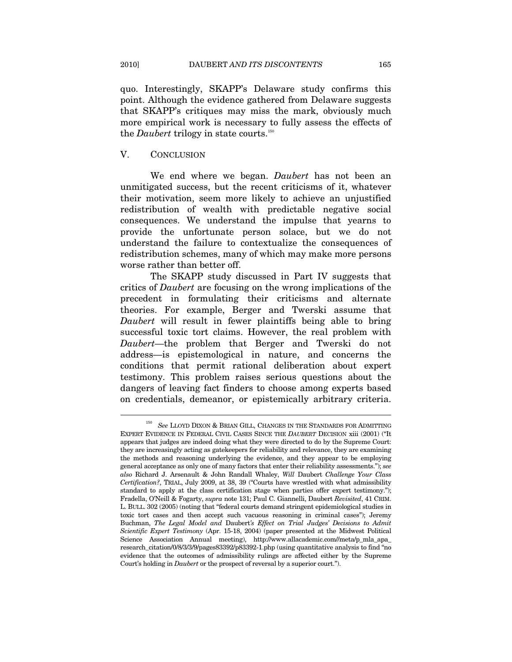quo. Interestingly, SKAPP's Delaware study confirms this point. Although the evidence gathered from Delaware suggests that SKAPP's critiques may miss the mark, obviously much more empirical work is necessary to fully assess the effects of the *Daubert* trilogy in state courts.<sup>150</sup>

#### V. CONCLUSION

 $\overline{a}$ 

We end where we began. *Daubert* has not been an unmitigated success, but the recent criticisms of it, whatever their motivation, seem more likely to achieve an unjustified redistribution of wealth with predictable negative social consequences. We understand the impulse that yearns to provide the unfortunate person solace, but we do not understand the failure to contextualize the consequences of redistribution schemes, many of which may make more persons worse rather than better off.

The SKAPP study discussed in Part IV suggests that critics of *Daubert* are focusing on the wrong implications of the precedent in formulating their criticisms and alternate theories. For example, Berger and Twerski assume that *Daubert* will result in fewer plaintiffs being able to bring successful toxic tort claims. However, the real problem with *Daubert*—the problem that Berger and Twerski do not address—is epistemological in nature, and concerns the conditions that permit rational deliberation about expert testimony. This problem raises serious questions about the dangers of leaving fact finders to choose among experts based on credentials, demeanor, or epistemically arbitrary criteria.

<sup>150</sup> *See* LLOYD DIXON & BRIAN GILL, CHANGES IN THE STANDARDS FOR ADMITTING EXPERT EVIDENCE IN FEDERAL CIVIL CASES SINCE THE *DAUBERT* DECISION xiii (2001) ("It appears that judges are indeed doing what they were directed to do by the Supreme Court: they are increasingly acting as gatekeepers for reliability and relevance, they are examining the methods and reasoning underlying the evidence, and they appear to be employing general acceptance as only one of many factors that enter their reliability assessments."); *see also* Richard J. Arsenault & John Randall Whaley, *Will* Daubert *Challenge Your Class Certification?*, TRIAL, July 2009, at 38, 39 ("Courts have wrestled with what admissibility standard to apply at the class certification stage when parties offer expert testimony."); Fradella, O'Neill & Fogarty, *supra* note 131; Paul C. Giannelli, Daubert *Revisited*, 41 CRIM. L. BULL. 302 (2005) (noting that "federal courts demand stringent epidemiological studies in toxic tort cases and then accept such vacuous reasoning in criminal cases"); Jeremy Buchman, *The Legal Model and* Daubert*'s Effect on Trial Judges' Decisions to Admit Scientific Expert Testimony* (Apr. 15-18, 2004) (paper presented at the Midwest Political Science Association Annual meeting), http://www.allacademic.com//meta/p\_mla\_apa\_ research\_citation/0/8/3/3/9/pages83392/p83392-1.php (using quantitative analysis to find "no evidence that the outcomes of admissibility rulings are affected either by the Supreme Court's holding in *Daubert* or the prospect of reversal by a superior court.").